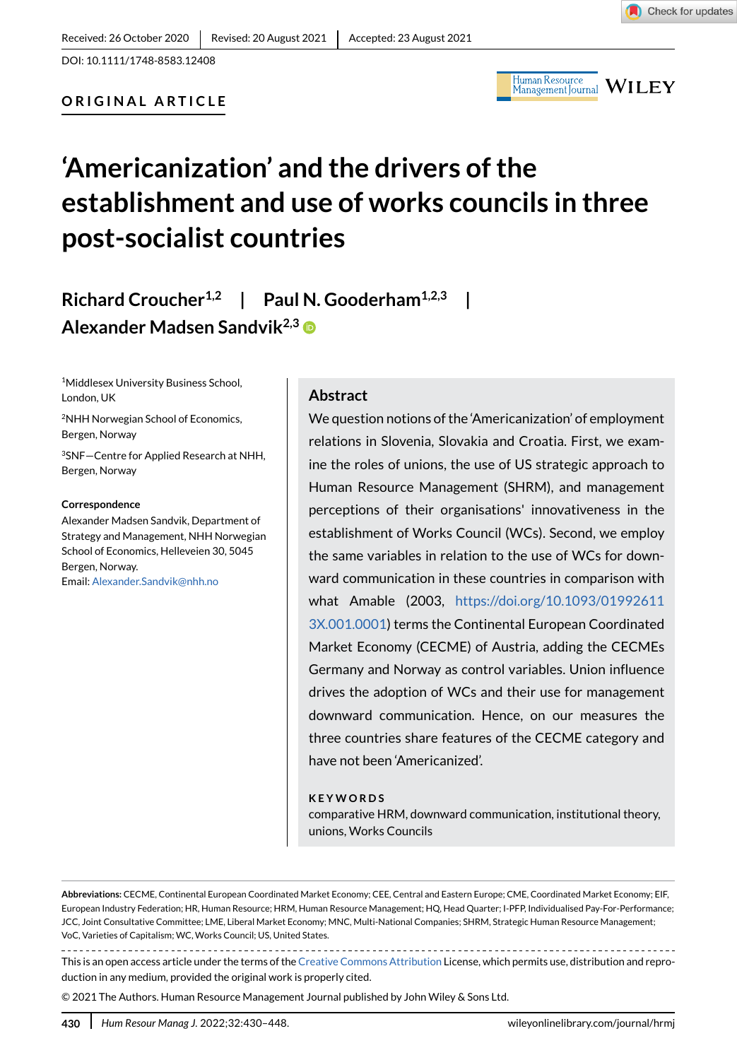$\frac{\text{Human Resource}}{\text{Management Journal}}$   $\textbf{WILEY}$ 

**ORIGINAL ARTICLE**

# **'Americanization' and the drivers of the establishment and use of works councils in three post-socialist countries**

# **Richard Croucher1,2 | Paul N. Gooderham1,2,3 | Alexander Madsen Sandvik2,3**

1Middlesex University Business School, London, UK

2NHH Norwegian School of Economics, Bergen, Norway

3SNF—Centre for Applied Research at NHH, Bergen, Norway

#### **Correspondence**

Alexander Madsen Sandvik, Department of Strategy and Management, NHH Norwegian School of Economics, Helleveien 30, 5045 Bergen, Norway. Email: Alexander.Sandvik@nhh.no

#### **Abstract**

We question notions of the 'Americanization' of employment relations in Slovenia, Slovakia and Croatia. First, we examine the roles of unions, the use of US strategic approach to Human Resource Management (SHRM), and management perceptions of their organisations' innovativeness in the establishment of Works Council (WCs). Second, we employ the same variables in relation to the use of WCs for downward communication in these countries in comparison with what Amable (2003, [https://doi.org/10.1093/01992611](https://doi.org/10.1093/019926113X.001.0001) [3X.001.0001](https://doi.org/10.1093/019926113X.001.0001)) terms the Continental European Coordinated Market Economy (CECME) of Austria, adding the CECMEs Germany and Norway as control variables. Union influence drives the adoption of WCs and their use for management downward communication. Hence, on our measures the three countries share features of the CECME category and have not been 'Americanized'.

#### **KEYWORDS**

comparative HRM, downward communication, institutional theory, unions, Works Councils

**Abbreviations:** CECME, Continental European Coordinated Market Economy; CEE, Central and Eastern Europe; CME, Coordinated Market Economy; EIF, European Industry Federation; HR, Human Resource; HRM, Human Resource Management; HQ, Head Quarter; I-PFP, Individualised Pay-For-Performance; JCC, Joint Consultative Committee; LME, Liberal Market Economy; MNC, Multi-National Companies; SHRM, Strategic Human Resource Management; VoC, Varieties of Capitalism; WC, Works Council; US, United States.

This is an open access article under the terms of the [Creative Commons Attribution](http://creativecommons.org/licenses/by/4.0/) License, which permits use, distribution and reproduction in any medium, provided the original work is properly cited.

© 2021 The Authors. Human Resource Management Journal published by John Wiley & Sons Ltd.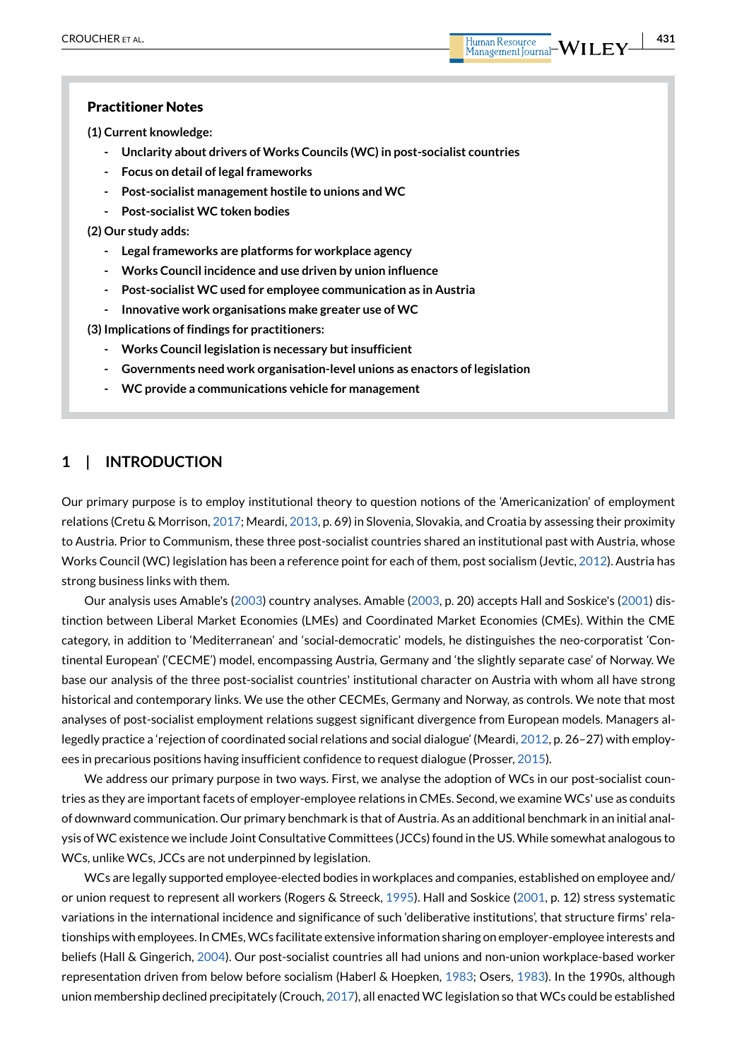**(1) Current knowledge:**

- **Unclarity about drivers of Works Councils (WC) in post-socialist countries**
- **Focus on detail of legal frameworks**
- **Post-socialist management hostile to unions and WC**
- **Post-socialist WC token bodies**

**(2) Our study adds:**

- **Legal frameworks are platforms for workplace agency**
- **Works Council incidence and use driven by union influence**
- **Post-socialist WC used for employee communication as in Austria**
- **Innovative work organisations make greater use of WC**

**(3) Implications of findings for practitioners:**

- **Works Council legislation is necessary but insufficient**
- **Governments need work organisation-level unions as enactors of legislation**
- **WC provide a communications vehicle for management**

# **1 | INTRODUCTION**

Our primary purpose is to employ institutional theory to question notions of the 'Americanization' of employment relations (Cretu & Morrison, [2017;](#page-14-0) Meardi, [2013](#page-15-0), p. 69) in Slovenia, Slovakia, and Croatia by assessing their proximity to Austria. Prior to Communism, these three post-socialist countries shared an institutional past with Austria, whose Works Council (WC) legislation has been a reference point for each of them, post socialism (Jevtic, [2012](#page-15-1)). Austria has strong business links with them.

Our analysis uses Amable's [\(2003\)](#page-14-1) country analyses. Amable ([2003](#page-14-1), p. 20) accepts Hall and Soskice's ([2001](#page-15-2)) distinction between Liberal Market Economies (LMEs) and Coordinated Market Economies (CMEs). Within the CME category, in addition to 'Mediterranean' and 'social-democratic' models, he distinguishes the neo-corporatist 'Continental European' ('CECME') model, encompassing Austria, Germany and 'the slightly separate case' of Norway. We base our analysis of the three post-socialist countries' institutional character on Austria with whom all have strong historical and contemporary links. We use the other CECMEs, Germany and Norway, as controls. We note that most analyses of post-socialist employment relations suggest significant divergence from European models. Managers allegedly practice a 'rejection of coordinated social relations and social dialogue' (Meardi, [2012](#page-15-3), p. 26–27) with employees in precarious positions having insufficient confidence to request dialogue (Prosser, [2015\)](#page-15-4).

We address our primary purpose in two ways. First, we analyse the adoption of WCs in our post-socialist countries as they are important facets of employer-employee relations in CMEs. Second, we examine WCs' use as conduits of downward communication. Our primary benchmark is that of Austria. As an additional benchmark in an initial analysis of WC existence we include Joint Consultative Committees (JCCs) found in the US. While somewhat analogous to WCs, unlike WCs, JCCs are not underpinned by legislation.

WCs are legally supported employee-elected bodies in workplaces and companies, established on employee and/ or union request to represent all workers (Rogers & Streeck, [1995](#page-15-5)). Hall and Soskice [\(2001,](#page-15-2) p. 12) stress systematic variations in the international incidence and significance of such 'deliberative institutions', that structure firms' relationships with employees. In CMEs, WCs facilitate extensive information sharing on employer-employee interests and beliefs (Hall & Gingerich, [2004](#page-15-6)). Our post-socialist countries all had unions and non-union workplace-based worker representation driven from below before socialism (Haberl & Hoepken, [1983](#page-15-7); Osers, [1983\)](#page-15-8). In the 1990s, although union membership declined precipitately (Crouch, [2017](#page-14-2)), all enacted WC legislation so that WCs could be established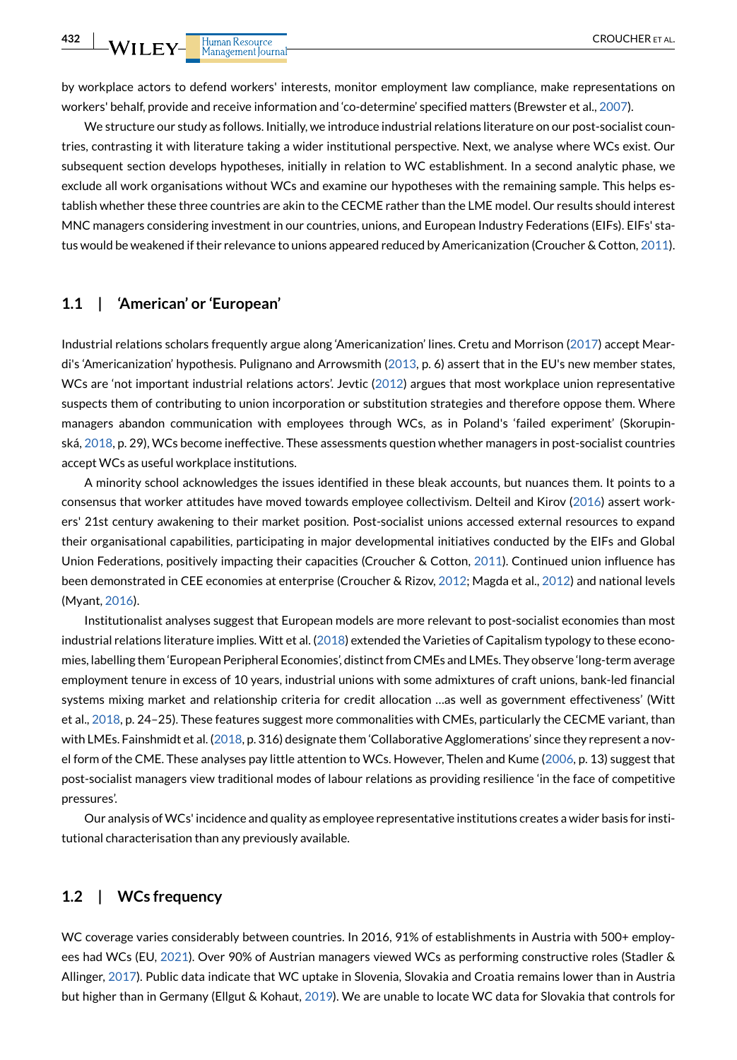by workplace actors to defend workers' interests, monitor employment law compliance, make representations on workers' behalf, provide and receive information and 'co-determine' specified matters (Brewster et al., [2007\)](#page-14-3).

We structure our study as follows. Initially, we introduce industrial relations literature on our post-socialist countries, contrasting it with literature taking a wider institutional perspective. Next, we analyse where WCs exist. Our subsequent section develops hypotheses, initially in relation to WC establishment. In a second analytic phase, we exclude all work organisations without WCs and examine our hypotheses with the remaining sample. This helps establish whether these three countries are akin to the CECME rather than the LME model. Our results should interest MNC managers considering investment in our countries, unions, and European Industry Federations (EIFs). EIFs' status would be weakened if their relevance to unions appeared reduced by Americanization (Croucher & Cotton, [2011](#page-14-4)).

# **1.1 | 'American' or 'European'**

 $\overline{\mathbf{L}}$  WILEY- Human Resource

Industrial relations scholars frequently argue along 'Americanization' lines. Cretu and Morrison [\(2017\)](#page-14-0) accept Meardi's 'Americanization' hypothesis. Pulignano and Arrowsmith [\(2013,](#page-15-9) p. 6) assert that in the EU's new member states, WCs are 'not important industrial relations actors'. Jevtic ([2012](#page-15-1)) argues that most workplace union representative suspects them of contributing to union incorporation or substitution strategies and therefore oppose them. Where managers abandon communication with employees through WCs, as in Poland's 'failed experiment' (Skorupinská, [2018](#page-16-0), p. 29), WCs become ineffective. These assessments question whether managers in post-socialist countries accept WCs as useful workplace institutions.

A minority school acknowledges the issues identified in these bleak accounts, but nuances them. It points to a consensus that worker attitudes have moved towards employee collectivism. Delteil and Kirov ([2016](#page-14-5)) assert workers' 21st century awakening to their market position. Post-socialist unions accessed external resources to expand their organisational capabilities, participating in major developmental initiatives conducted by the EIFs and Global Union Federations, positively impacting their capacities (Croucher & Cotton, [2011](#page-14-4)). Continued union influence has been demonstrated in CEE economies at enterprise (Croucher & Rizov, [2012;](#page-14-6) Magda et al., [2012](#page-15-10)) and national levels (Myant, [2016\)](#page-15-11).

Institutionalist analyses suggest that European models are more relevant to post-socialist economies than most industrial relations literature implies. Witt et al. [\(2018](#page-16-1)) extended the Varieties of Capitalism typology to these economies, labelling them 'European Peripheral Economies', distinct from CMEs and LMEs. They observe 'long-term average employment tenure in excess of 10 years, industrial unions with some admixtures of craft unions, bank-led financial systems mixing market and relationship criteria for credit allocation …as well as government effectiveness' (Witt et al., [2018](#page-16-1), p. 24–25). These features suggest more commonalities with CMEs, particularly the CECME variant, than with LMEs. Fainshmidt et al. ([2018](#page-15-12), p. 316) designate them 'Collaborative Agglomerations' since they represent a novel form of the CME. These analyses pay little attention to WCs. However, Thelen and Kume ([2006](#page-16-2), p. 13) suggest that post-socialist managers view traditional modes of labour relations as providing resilience 'in the face of competitive pressures'.

Our analysis of WCs' incidence and quality as employee representative institutions creates a wider basis for institutional characterisation than any previously available.

#### **1.2 | WCs frequency**

WC coverage varies considerably between countries. In 2016, 91% of establishments in Austria with 500+ employees had WCs (EU, [2021](#page-14-7)). Over 90% of Austrian managers viewed WCs as performing constructive roles (Stadler & Allinger, [2017\)](#page-16-3). Public data indicate that WC uptake in Slovenia, Slovakia and Croatia remains lower than in Austria but higher than in Germany (Ellgut & Kohaut, [2019\)](#page-14-8). We are unable to locate WC data for Slovakia that controls for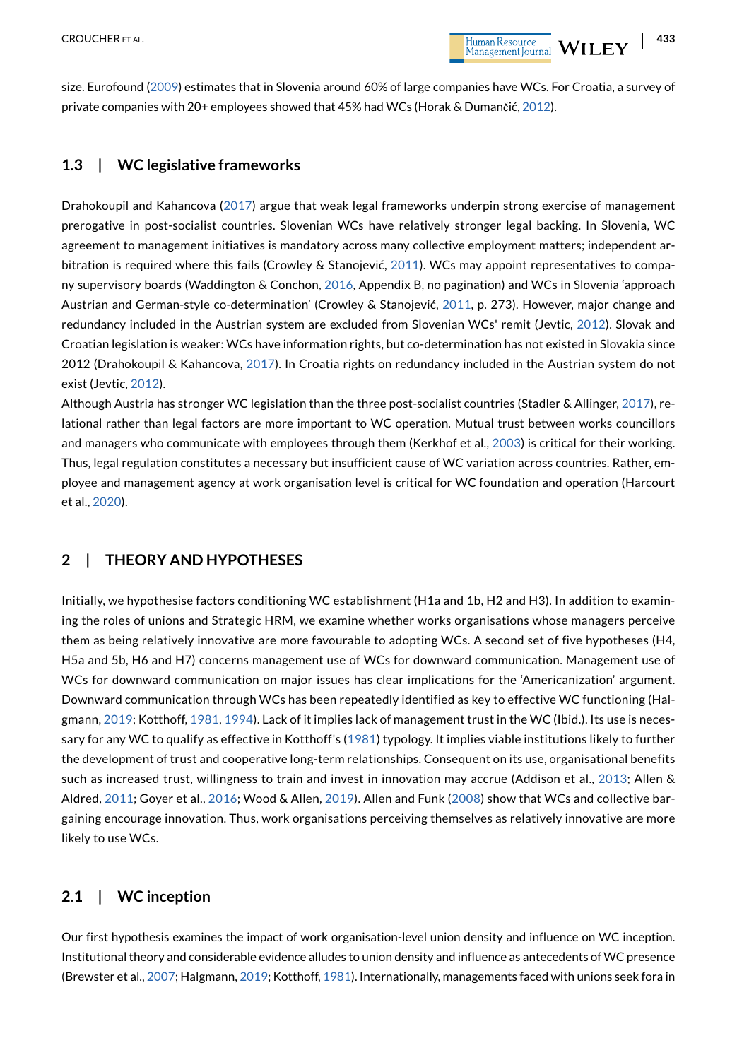size. Eurofound ([2009](#page-15-13)) estimates that in Slovenia around 60% of large companies have WCs. For Croatia, a survey of private companies with 20+ employees showed that 45% had WCs (Horak & Dumančić, [2012](#page-15-14)).

#### **1.3 | WC legislative frameworks**

Drahokoupil and Kahancova ([2017\)](#page-14-9) argue that weak legal frameworks underpin strong exercise of management prerogative in post-socialist countries. Slovenian WCs have relatively stronger legal backing. In Slovenia, WC agreement to management initiatives is mandatory across many collective employment matters; independent arbitration is required where this fails (Crowley & Stanojević, [2011\)](#page-14-10). WCs may appoint representatives to company supervisory boards (Waddington & Conchon, [2016](#page-16-4), Appendix B, no pagination) and WCs in Slovenia 'approach Austrian and German-style co-determination' (Crowley & Stanojević, [2011,](#page-14-10) p. 273). However, major change and redundancy included in the Austrian system are excluded from Slovenian WCs' remit (Jevtic, [2012](#page-15-1)). Slovak and Croatian legislation is weaker: WCs have information rights, but co-determination has not existed in Slovakia since 2012 (Drahokoupil & Kahancova, [2017\)](#page-14-9). In Croatia rights on redundancy included in the Austrian system do not exist (Jevtic, [2012\)](#page-15-1).

Although Austria has stronger WC legislation than the three post-socialist countries (Stadler & Allinger, [2017\)](#page-16-3), relational rather than legal factors are more important to WC operation. Mutual trust between works councillors and managers who communicate with employees through them (Kerkhof et al., [2003\)](#page-15-15) is critical for their working. Thus, legal regulation constitutes a necessary but insufficient cause of WC variation across countries. Rather, employee and management agency at work organisation level is critical for WC foundation and operation (Harcourt et al., [2020\)](#page-15-16).

# **2 | THEORY AND HYPOTHESES**

Initially, we hypothesise factors conditioning WC establishment (H1a and 1b, H2 and H3). In addition to examining the roles of unions and Strategic HRM, we examine whether works organisations whose managers perceive them as being relatively innovative are more favourable to adopting WCs. A second set of five hypotheses (H4, H5a and 5b, H6 and H7) concerns management use of WCs for downward communication. Management use of WCs for downward communication on major issues has clear implications for the 'Americanization' argument. Downward communication through WCs has been repeatedly identified as key to effective WC functioning (Halgmann, [2019](#page-15-17); Kotthoff, [1981](#page-15-18), [1994\)](#page-15-19). Lack of it implies lack of management trust in the WC (Ibid.). Its use is necessary for any WC to qualify as effective in Kotthoff's ([1981\)](#page-15-18) typology. It implies viable institutions likely to further the development of trust and cooperative long-term relationships. Consequent on its use, organisational benefits such as increased trust, willingness to train and invest in innovation may accrue (Addison et al., [2013;](#page-14-11) Allen & Aldred, [2011;](#page-14-12) Goyer et al., [2016](#page-15-20); Wood & Allen, [2019\)](#page-16-5). Allen and Funk ([2008](#page-14-13)) show that WCs and collective bargaining encourage innovation. Thus, work organisations perceiving themselves as relatively innovative are more likely to use WCs.

#### **2.1 | WC inception**

Our first hypothesis examines the impact of work organisation-level union density and influence on WC inception. Institutional theory and considerable evidence alludes to union density and influence as antecedents of WC presence (Brewster et al., [2007](#page-14-3); Halgmann, [2019](#page-15-17); Kotthoff, [1981](#page-15-18)). Internationally, managements faced with unions seek fora in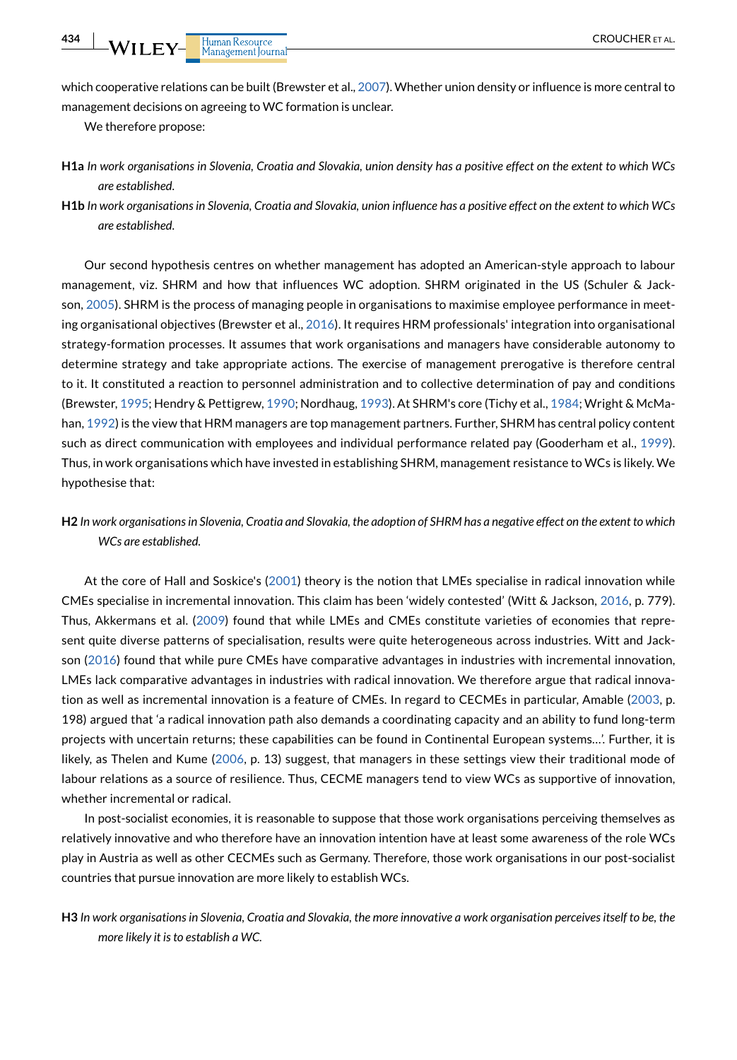which cooperative relations can be built (Brewster et al., [2007](#page-14-3)). Whether union density or influence is more central to management decisions on agreeing to WC formation is unclear.

We therefore propose:

- **H1a** *In work organisations in Slovenia, Croatia and Slovakia, union density has a positive effect on the extent to which WCs are established.*
- **H1b** *In work organisations in Slovenia, Croatia and Slovakia, union influence has a positive effect on the extent to which WCs are established.*

Our second hypothesis centres on whether management has adopted an American-style approach to labour management, viz. SHRM and how that influences WC adoption. SHRM originated in the US (Schuler & Jackson, [2005\)](#page-15-21). SHRM is the process of managing people in organisations to maximise employee performance in meeting organisational objectives (Brewster et al., [2016](#page-14-14)). It requires HRM professionals' integration into organisational strategy-formation processes. It assumes that work organisations and managers have considerable autonomy to determine strategy and take appropriate actions. The exercise of management prerogative is therefore central to it. It constituted a reaction to personnel administration and to collective determination of pay and conditions (Brewster, [1995;](#page-14-15) Hendry & Pettigrew, [1990](#page-15-22); Nordhaug, [1993\)](#page-15-23). At SHRM's core (Tichy et al., [1984;](#page-16-6) Wright & McMahan, [1992\)](#page-16-7) is the view that HRM managers are top management partners. Further, SHRM has central policy content such as direct communication with employees and individual performance related pay (Gooderham et al., [1999](#page-15-24)). Thus, in work organisations which have invested in establishing SHRM, management resistance to WCs is likely. We hypothesise that:

**H2** *In work organisations in Slovenia, Croatia and Slovakia, the adoption of SHRM has a negative effect on the extent to which WCs are established.*

At the core of Hall and Soskice's ([2001\)](#page-15-2) theory is the notion that LMEs specialise in radical innovation while CMEs specialise in incremental innovation. This claim has been 'widely contested' (Witt & Jackson, [2016,](#page-16-8) p. 779). Thus, Akkermans et al. [\(2009](#page-14-16)) found that while LMEs and CMEs constitute varieties of economies that represent quite diverse patterns of specialisation, results were quite heterogeneous across industries. Witt and Jackson ([2016\)](#page-16-8) found that while pure CMEs have comparative advantages in industries with incremental innovation, LMEs lack comparative advantages in industries with radical innovation. We therefore argue that radical innovation as well as incremental innovation is a feature of CMEs. In regard to CECMEs in particular, Amable [\(2003,](#page-14-1) p. 198) argued that 'a radical innovation path also demands a coordinating capacity and an ability to fund long-term projects with uncertain returns; these capabilities can be found in Continental European systems…'. Further, it is likely, as Thelen and Kume ([2006,](#page-16-2) p. 13) suggest, that managers in these settings view their traditional mode of labour relations as a source of resilience. Thus, CECME managers tend to view WCs as supportive of innovation, whether incremental or radical.

In post-socialist economies, it is reasonable to suppose that those work organisations perceiving themselves as relatively innovative and who therefore have an innovation intention have at least some awareness of the role WCs play in Austria as well as other CECMEs such as Germany. Therefore, those work organisations in our post-socialist countries that pursue innovation are more likely to establish WCs.

**H3** *In work organisations in Slovenia, Croatia and Slovakia, the more innovative a work organisation perceives itself to be, the more likely it is to establish a WC.*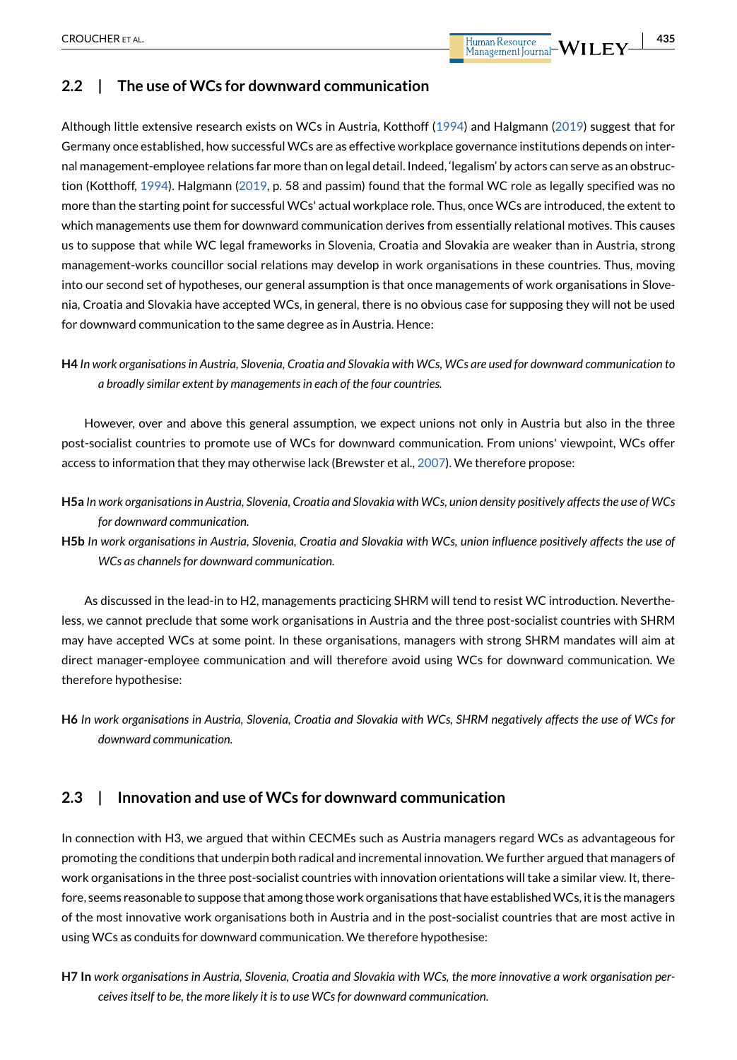# **2.2 | The use of WCs for downward communication**

Although little extensive research exists on WCs in Austria, Kotthoff ([1994](#page-15-19)) and Halgmann [\(2019\)](#page-15-17) suggest that for Germany once established, how successful WCs are as effective workplace governance institutions depends on internal management-employee relations far more than on legal detail. Indeed, 'legalism' by actors can serve as an obstruction (Kotthoff, [1994\)](#page-15-19). Halgmann [\(2019,](#page-15-17) p. 58 and passim) found that the formal WC role as legally specified was no more than the starting point for successful WCs' actual workplace role. Thus, once WCs are introduced, the extent to which managements use them for downward communication derives from essentially relational motives. This causes us to suppose that while WC legal frameworks in Slovenia, Croatia and Slovakia are weaker than in Austria, strong management-works councillor social relations may develop in work organisations in these countries. Thus, moving into our second set of hypotheses, our general assumption is that once managements of work organisations in Slovenia, Croatia and Slovakia have accepted WCs, in general, there is no obvious case for supposing they will not be used for downward communication to the same degree as in Austria. Hence:

**H4** *In work organisations in Austria, Slovenia, Croatia and Slovakia with WCs, WCs are used for downward communication to a broadly similar extent by managements in each of the four countries.*

However, over and above this general assumption, we expect unions not only in Austria but also in the three post-socialist countries to promote use of WCs for downward communication. From unions' viewpoint, WCs offer access to information that they may otherwise lack (Brewster et al., [2007](#page-14-3)). We therefore propose:

- **H5a** *In work organisations in Austria, Slovenia, Croatia and Slovakia with WCs, union density positively affects the use of WCs for downward communication.*
- **H5b** *In work organisations in Austria, Slovenia, Croatia and Slovakia with WCs, union influence positively affects the use of WCs as channels for downward communication.*

As discussed in the lead-in to H2, managements practicing SHRM will tend to resist WC introduction. Nevertheless, we cannot preclude that some work organisations in Austria and the three post-socialist countries with SHRM may have accepted WCs at some point. In these organisations, managers with strong SHRM mandates will aim at direct manager-employee communication and will therefore avoid using WCs for downward communication. We therefore hypothesise:

**H6** *In work organisations in Austria, Slovenia, Croatia and Slovakia with WCs, SHRM negatively affects the use of WCs for downward communication.*

# **2.3 | Innovation and use of WCs for downward communication**

In connection with H3, we argued that within CECMEs such as Austria managers regard WCs as advantageous for promoting the conditions that underpin both radical and incremental innovation. We further argued that managers of work organisations in the three post-socialist countries with innovation orientations will take a similar view. It, therefore, seems reasonable to suppose that among those work organisations that have established WCs, it is the managers of the most innovative work organisations both in Austria and in the post-socialist countries that are most active in using WCs as conduits for downward communication. We therefore hypothesise:

**H7 In** *work organisations in Austria, Slovenia, Croatia and Slovakia with WCs, the more innovative a work organisation perceives itself to be, the more likely it is to use WCs for downward communication.*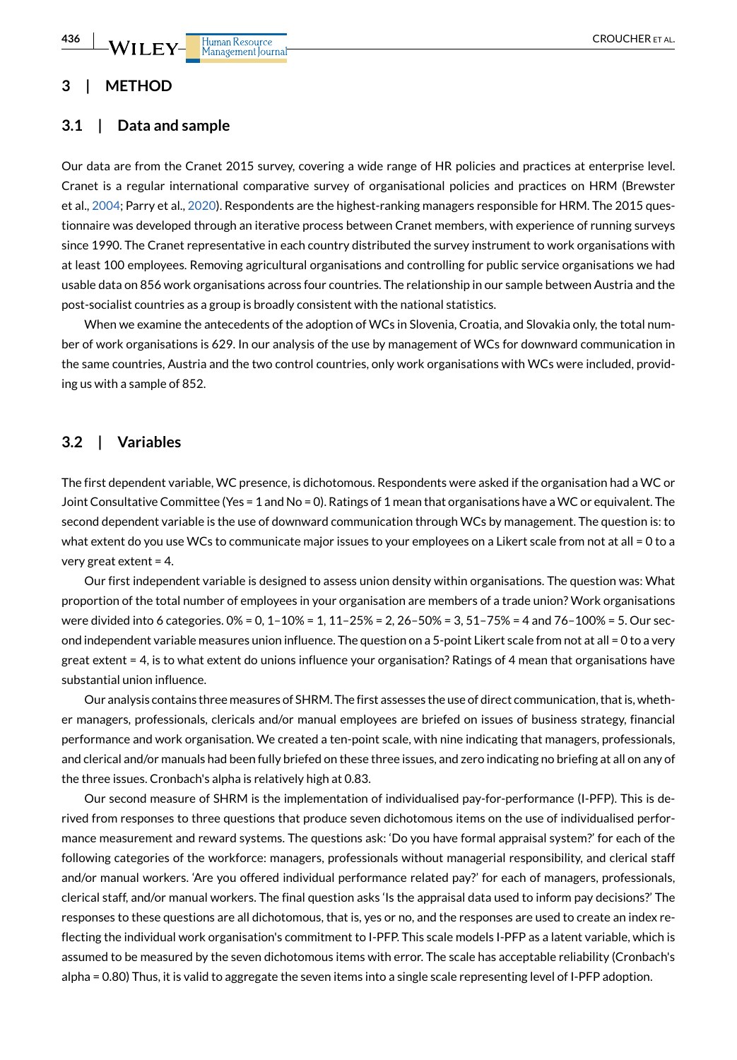### **3 | METHOD**

#### **3.1 | Data and sample**

Our data are from the Cranet 2015 survey, covering a wide range of HR policies and practices at enterprise level. Cranet is a regular international comparative survey of organisational policies and practices on HRM (Brewster et al., [2004](#page-14-17); Parry et al., [2020](#page-15-25)). Respondents are the highest-ranking managers responsible for HRM. The 2015 questionnaire was developed through an iterative process between Cranet members, with experience of running surveys since 1990. The Cranet representative in each country distributed the survey instrument to work organisations with at least 100 employees. Removing agricultural organisations and controlling for public service organisations we had usable data on 856 work organisations across four countries. The relationship in our sample between Austria and the post-socialist countries as a group is broadly consistent with the national statistics.

When we examine the antecedents of the adoption of WCs in Slovenia, Croatia, and Slovakia only, the total number of work organisations is 629. In our analysis of the use by management of WCs for downward communication in the same countries, Austria and the two control countries, only work organisations with WCs were included, providing us with a sample of 852.

# **3.2 | Variables**

The first dependent variable, WC presence, is dichotomous. Respondents were asked if the organisation had a WC or Joint Consultative Committee (Yes = 1 and No = 0). Ratings of 1 mean that organisations have a WC or equivalent. The second dependent variable is the use of downward communication through WCs by management. The question is: to what extent do you use WCs to communicate major issues to your employees on a Likert scale from not at all = 0 to a very great extent = 4.

Our first independent variable is designed to assess union density within organisations. The question was: What proportion of the total number of employees in your organisation are members of a trade union? Work organisations were divided into 6 categories. 0% = 0, 1–10% = 1, 11–25% = 2, 26–50% = 3, 51–75% = 4 and 76–100% = 5. Our second independent variable measures union influence. The question on a 5-point Likert scale from not at all = 0 to a very great extent = 4, is to what extent do unions influence your organisation? Ratings of 4 mean that organisations have substantial union influence.

Our analysis contains three measures of SHRM. The first assesses the use of direct communication, that is, whether managers, professionals, clericals and/or manual employees are briefed on issues of business strategy, financial performance and work organisation. We created a ten-point scale, with nine indicating that managers, professionals, and clerical and/or manuals had been fully briefed on these three issues, and zero indicating no briefing at all on any of the three issues. Cronbach's alpha is relatively high at 0.83.

Our second measure of SHRM is the implementation of individualised pay-for-performance (I-PFP). This is derived from responses to three questions that produce seven dichotomous items on the use of individualised performance measurement and reward systems. The questions ask: 'Do you have formal appraisal system?' for each of the following categories of the workforce: managers, professionals without managerial responsibility, and clerical staff and/or manual workers. 'Are you offered individual performance related pay?' for each of managers, professionals, clerical staff, and/or manual workers. The final question asks 'Is the appraisal data used to inform pay decisions?' The responses to these questions are all dichotomous, that is, yes or no, and the responses are used to create an index reflecting the individual work organisation's commitment to I-PFP. This scale models I-PFP as a latent variable, which is assumed to be measured by the seven dichotomous items with error. The scale has acceptable reliability (Cronbach's alpha = 0.80) Thus, it is valid to aggregate the seven items into a single scale representing level of I-PFP adoption.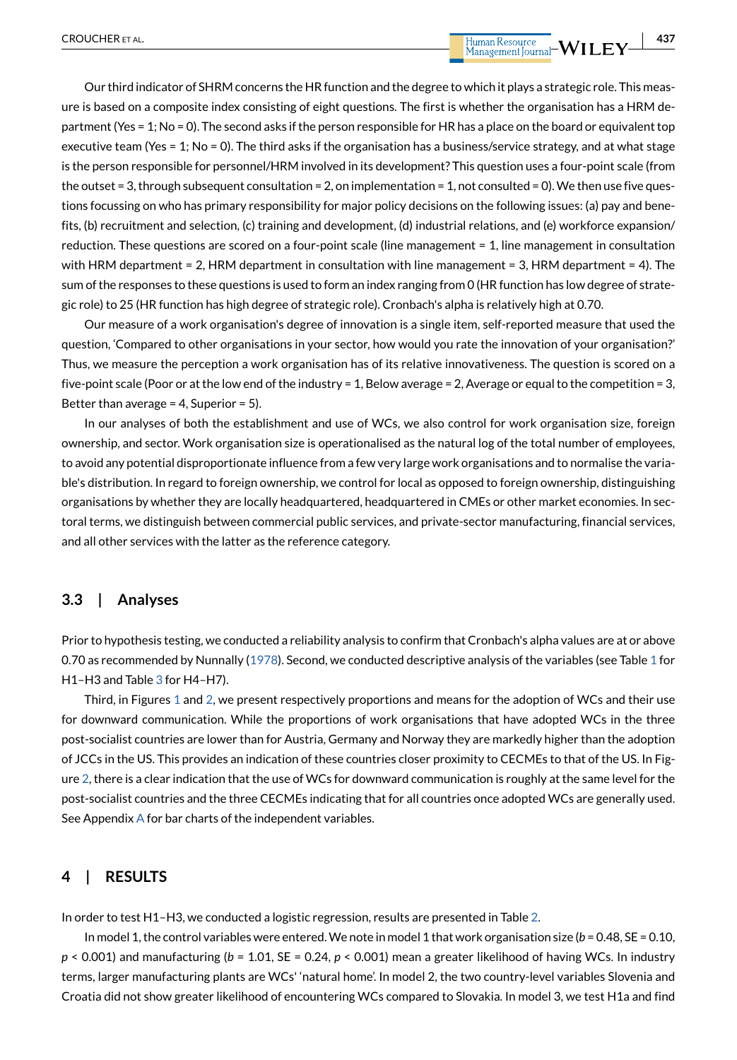Our third indicator of SHRM concerns the HR function and the degree to which it plays a strategic role. This measure is based on a composite index consisting of eight questions. The first is whether the organisation has a HRM department (Yes = 1; No = 0). The second asks if the person responsible for HR has a place on the board or equivalent top executive team (Yes = 1; No = 0). The third asks if the organisation has a business/service strategy, and at what stage is the person responsible for personnel/HRM involved in its development? This question uses a four-point scale (from the outset = 3, through subsequent consultation = 2, on implementation = 1, not consulted = 0). We then use five questions focussing on who has primary responsibility for major policy decisions on the following issues: (a) pay and benefits, (b) recruitment and selection, (c) training and development, (d) industrial relations, and (e) workforce expansion/ reduction. These questions are scored on a four-point scale (line management = 1, line management in consultation with HRM department = 2, HRM department in consultation with line management = 3, HRM department = 4). The sum of the responses to these questions is used to form an index ranging from 0 (HR function has low degree of strategic role) to 25 (HR function has high degree of strategic role). Cronbach's alpha is relatively high at 0.70.

Our measure of a work organisation's degree of innovation is a single item, self-reported measure that used the question, 'Compared to other organisations in your sector, how would you rate the innovation of your organisation?' Thus, we measure the perception a work organisation has of its relative innovativeness. The question is scored on a five-point scale (Poor or at the low end of the industry = 1, Below average = 2, Average or equal to the competition = 3, Better than average = 4, Superior = 5).

In our analyses of both the establishment and use of WCs, we also control for work organisation size, foreign ownership, and sector. Work organisation size is operationalised as the natural log of the total number of employees, to avoid any potential disproportionate influence from a few very large work organisations and to normalise the variable's distribution. In regard to foreign ownership, we control for local as opposed to foreign ownership, distinguishing organisations by whether they are locally headquartered, headquartered in CMEs or other market economies. In sectoral terms, we distinguish between commercial public services, and private-sector manufacturing, financial services, and all other services with the latter as the reference category.

#### **3.3 | Analyses**

Prior to hypothesis testing, we conducted a reliability analysis to confirm that Cronbach's alpha values are at or above 0.70 as recommended by Nunnally [\(1978\)](#page-15-26). Second, we conducted descriptive analysis of the variables (see Table [1](#page-8-0) for H1–H3 and Table [3](#page-10-0) for H4–H7).

Third, in Figures [1](#page-11-0) and [2](#page-11-1), we present respectively proportions and means for the adoption of WCs and their use for downward communication. While the proportions of work organisations that have adopted WCs in the three post-socialist countries are lower than for Austria, Germany and Norway they are markedly higher than the adoption of JCCs in the US. This provides an indication of these countries closer proximity to CECMEs to that of the US. In Figure [2,](#page-11-1) there is a clear indication that the use of WCs for downward communication is roughly at the same level for the post-socialist countries and the three CECMEs indicating that for all countries once adopted WCs are generally used. See [A](#page-16-9)ppendix A for bar charts of the independent variables.

#### **4 | RESULTS**

In order to test H1–H3, we conducted a logistic regression, results are presented in Table [2.](#page-9-0)

In model 1, the control variables were entered. We note in model 1 that work organisation size (*b* = 0.48, SE = 0.10, *p* < 0.001) and manufacturing (*b* = 1.01, SE = 0.24, *p* < 0.001) mean a greater likelihood of having WCs. In industry terms, larger manufacturing plants are WCs' 'natural home'. In model 2, the two country-level variables Slovenia and Croatia did not show greater likelihood of encountering WCs compared to Slovakia. In model 3, we test H1a and find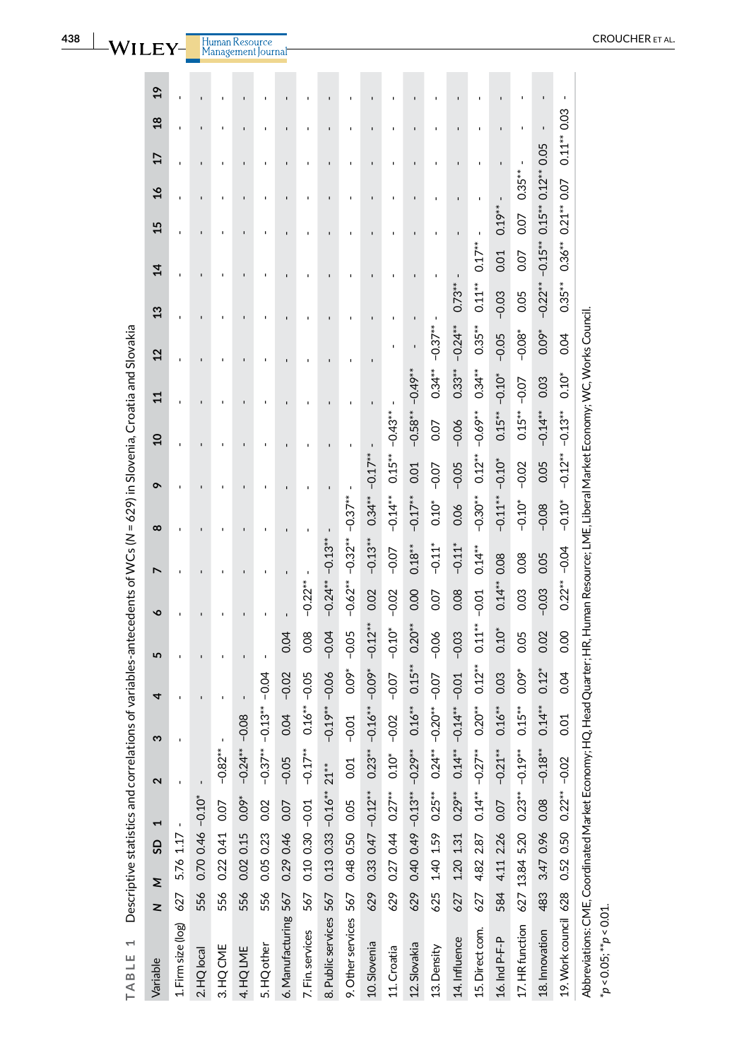<span id="page-8-0"></span>

| $\overline{ }$<br>TABLE                                                     |                     | Descriptive statistics and correlations of variables-antecedents of WCs (N = 629) in Slovenia, Croatia and Slovakia |                       |                   |                                                                                     |                |           |                    |                            |                   |                |                    |              |                      |               |                |                     |                             |                |               |
|-----------------------------------------------------------------------------|---------------------|---------------------------------------------------------------------------------------------------------------------|-----------------------|-------------------|-------------------------------------------------------------------------------------|----------------|-----------|--------------------|----------------------------|-------------------|----------------|--------------------|--------------|----------------------|---------------|----------------|---------------------|-----------------------------|----------------|---------------|
| Variable                                                                    | Σ<br>$\overline{z}$ | G                                                                                                                   | $\blacktriangleright$ | $\mathbf{\Omega}$ | ო                                                                                   | 4              | 5         | $\bullet$          | N                          | $\infty$          | ò              | g                  | $\mathbf{1}$ | $\overline{2}$       | $\frac{3}{2}$ | $\overline{4}$ | $\frac{8}{1}$<br>15 | 17                          | $\frac{8}{2}$  | $\frac{9}{2}$ |
| 1. Firm size (log) 627 5.76 $1.17 -$                                        |                     |                                                                                                                     |                       |                   |                                                                                     |                |           | ï                  |                            |                   |                |                    |              |                      | ï             |                |                     |                             |                |               |
| 2. HQ local                                                                 | 556                 | $0.70$ $0.46$ $-0.10$ <sup>*</sup>                                                                                  |                       |                   |                                                                                     |                |           |                    |                            |                   |                |                    |              |                      |               |                |                     |                             |                |               |
| 3. HQ CME                                                                   | 556                 | 0.22 0.41                                                                                                           | 0.07                  | $-0.82**$         |                                                                                     |                |           |                    |                            |                   |                |                    |              |                      |               |                |                     |                             |                |               |
| 4. HQ LME                                                                   | 556                 | $0.02$ 0.15 $0.09^*$ -0.24**                                                                                        |                       |                   | $-0.08$                                                                             | $\blacksquare$ |           | $\mathbf{I}$       |                            | $\mathbf{I}$      | $\blacksquare$ |                    | $\mathbf{I}$ | $\mathbf{I}$         | $\mathbf{I}$  | ı              | ı                   | $\mathbf{I}$                | $\blacksquare$ |               |
| 5. HQ other                                                                 | 556                 | 0.05 0.23 0.02                                                                                                      |                       | $-0.37***$        | $-0.13** -0.04$                                                                     | ı              |           | ı                  |                            |                   |                |                    |              |                      |               |                |                     |                             |                |               |
| 6. Manufacturing 567                                                        |                     | 0.29 0.46 0.07                                                                                                      |                       | $-0.05$           | 0.04                                                                                | $-0.02$        | 0.04      |                    |                            |                   |                |                    |              |                      |               |                |                     |                             |                |               |
| 7. Fin. services                                                            | 567                 | $0.1000.30 - 0.01$                                                                                                  |                       | $-0.17***$        | $0.16***-0.05$                                                                      |                | 0.08      | $-0.22***$         |                            | $\blacksquare$    |                |                    |              |                      |               |                |                     |                             |                |               |
| 8. Public services 567                                                      |                     | $0.13$ 0.33 $-0.16**$ 21**                                                                                          |                       |                   | $-0.19**$                                                                           | $-0.06$        | $-0.04$   | $-0.24***-0.13***$ |                            | $\mathbf{I}$      | $\blacksquare$ |                    |              | I.                   | f,            |                |                     | I.                          |                |               |
| 9. Other services 567                                                       |                     | 0.48 0.50 0.05                                                                                                      |                       | 0.01              | $-0.01$                                                                             | $0.09*$        | $-0.05$   |                    | $-0.62***-0.32***-0.37***$ |                   |                |                    |              |                      |               |                |                     |                             |                |               |
| 10. Slovenia                                                                | 629                 | $0.33$ 0.47 $-0.12***$                                                                                              |                       | $0.23***-0.16***$ |                                                                                     | $-0.09*$       | $-0.12**$ | 0.02               | $-0.13**$                  | $0.34***-0.17***$ |                |                    |              |                      |               |                |                     |                             |                |               |
| 11. Croatia                                                                 | 629                 | $0.27044027**$                                                                                                      |                       | $0.10*$           | $-0.02$                                                                             | $-0.07$        | $-0.10*$  | $-0.02$            | $-0.07$                    | $-0.14**$         | $0.15**$       | $-0.43*$           |              |                      |               |                |                     |                             |                |               |
| 12. Slovakia                                                                | 629                 | $0.40$ $0.49$ $-0.13**$ $-0.29**$                                                                                   |                       |                   | $0.16***$                                                                           | $0.15***$      | $0.20***$ | 0.00               | $0.18***$                  | $-0.17**$         | 0.01           | $-0.58***-0.49***$ |              | ï<br>$\mathbf{I}$    | ı             |                | ı                   | ı                           | ı              |               |
| 13. Density                                                                 |                     | 625 1.40 1.59 $0.25**$ 0.24**                                                                                       |                       |                   | $-0.20**$                                                                           | $-0.07$        | $-0.06$   | 0.07               | $-0.11*$                   | $0.10*$           | $-0.07$        | 0.07               | $0.34**$     | $-0.37***$           | $\mathbf{I}$  |                |                     |                             |                |               |
| 14. Influence                                                               | 627                 | 1.20 1.31                                                                                                           | $0.29***$             | $0.14**$          | $-0.14**$                                                                           | $-0.01$        | $-0.03$   | 0.08               | $-0.11*$                   | 0.06              | $-0.05$        | $-0.06$            | $0.33***$    | $-0.24**$            | $0.73**$      |                |                     |                             |                |               |
| 15. Direct com.                                                             |                     | $627$ 4.82 2.87 0.14** -0.27**                                                                                      |                       |                   | $0.20**$                                                                            | $0.12***$      | $0.11***$ | $-0.01$            | $0.14**$                   | $-0.30**$         | $0.12**$       | $-0.69**$          | $0.34**$     | $0.35***$            | $0.11***$     | Ţ<br>$0.17**$  |                     |                             |                |               |
| 16. Ind P-F-P                                                               | 584                 | 4.11 2.26                                                                                                           |                       | $0.07 -0.21***$   | $0.16***$                                                                           | 0.03           | $0.10*$   | $0.14***$          | 0.08                       | $-0.11***$        | $-0.10*$       | $0.15***$          | $-0.10*$     | $-0.05$              | $-0.03$       | 0.01           | $0.19***$           | f,                          |                |               |
| 17. HR function 627 13.84 5.20                                              |                     |                                                                                                                     |                       | $0.23***-0.19***$ | $0.15***$                                                                           | $0.09*$        | 0.05      | 0.03               | 0.08                       | $-0.10*$          | $-0.02$        | $0.15***$          | $-0.07$      | $-0.08$ <sup>*</sup> | 0.05          | 0.07           | 0.07                | $\blacksquare$<br>$0.35***$ |                |               |
| 18. Innovation 483                                                          |                     | 3.47 0.96                                                                                                           | 0.08                  | $-0.18***$        | $0.14**$                                                                            | $0.12*$        | 0.02      | $-0.03$            | 0.05                       | $-0.08$           | 0.05           | $-0.14**$          | 0.03         | $0.09*$              | $-0.22**$     | $-0.15**$      | $0.15***$           | $0.12**0.05$                |                |               |
| 19. Work council 628 0.52 0.50 0.22** -0.02                                 |                     |                                                                                                                     |                       |                   | 0.01                                                                                | 0.04           | 8.00      | $0.22**$           | $-0.04$                    | $-0.10*$          | $-0.12**$      | $-0.13**$          | $0.10*$      | 0.04                 | $0.35***$     | $0.36**$       | 0.07<br>$0.21**$    | $0.11**$                    | 0.03           |               |
| Abbreviations: CME, Coordinated Market Economy; H<br>$*p < 0.05; *p < 0.01$ |                     |                                                                                                                     |                       |                   | Q, Head Quarter; HR, Human Resource; LME, Liberal Market Economy; WC, Works Council |                |           |                    |                            |                   |                |                    |              |                      |               |                |                     |                             |                |               |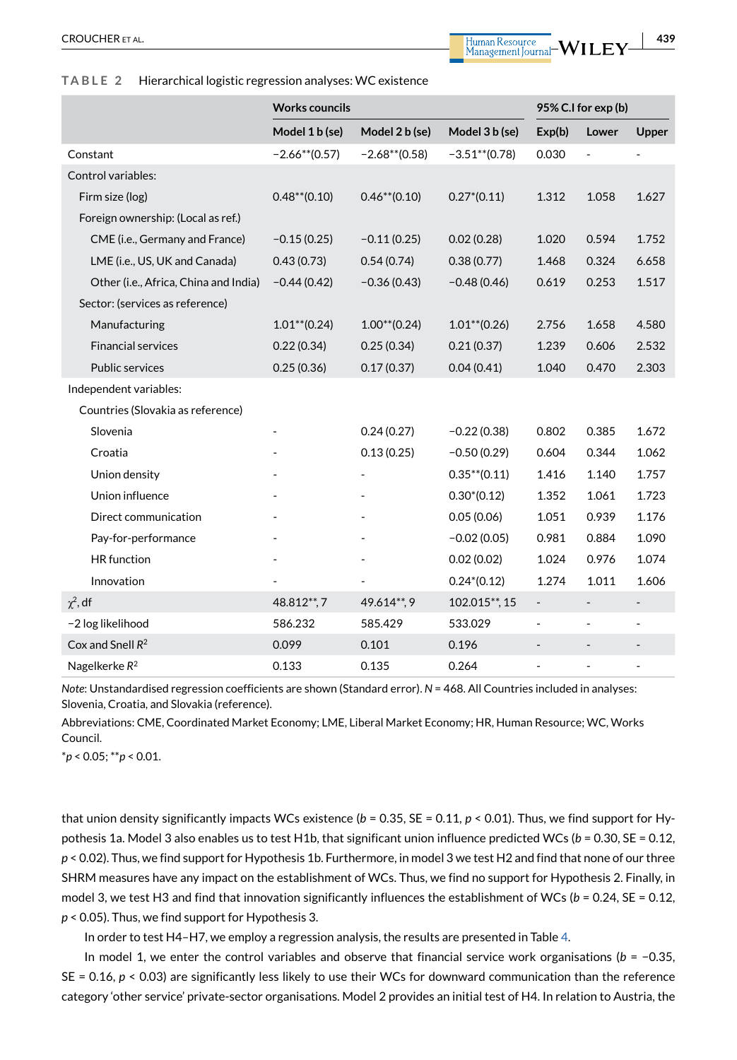#### <span id="page-9-0"></span>**TABLE 2** Hierarchical logistic regression analyses: WC existence

|                                       | <b>Works councils</b> |                  |                  | 95% C.I for exp (b)          |                          |                          |  |  |
|---------------------------------------|-----------------------|------------------|------------------|------------------------------|--------------------------|--------------------------|--|--|
|                                       | Model 1 b (se)        | Model 2 b (se)   | Model 3 b (se)   | Exp(b)                       | Lower                    | Upper                    |  |  |
| Constant                              | $-2.66**$ (0.57)      | $-2.68**$ (0.58) | $-3.51**$ (0.78) | 0.030                        | $\overline{\phantom{0}}$ |                          |  |  |
| Control variables:                    |                       |                  |                  |                              |                          |                          |  |  |
| Firm size (log)                       | $0.48**$ (0.10)       | $0.46**$ (0.10)  | $0.27*(0.11)$    | 1.312                        | 1.058                    | 1.627                    |  |  |
| Foreign ownership: (Local as ref.)    |                       |                  |                  |                              |                          |                          |  |  |
| CME (i.e., Germany and France)        | $-0.15(0.25)$         | $-0.11(0.25)$    | 0.02(0.28)       | 1.020                        | 0.594                    | 1.752                    |  |  |
| LME (i.e., US, UK and Canada)         | 0.43(0.73)            | 0.54(0.74)       | 0.38(0.77)       | 1.468                        | 0.324                    | 6.658                    |  |  |
| Other (i.e., Africa, China and India) | $-0.44(0.42)$         | $-0.36(0.43)$    | $-0.48(0.46)$    | 0.619                        | 0.253                    | 1.517                    |  |  |
| Sector: (services as reference)       |                       |                  |                  |                              |                          |                          |  |  |
| Manufacturing                         | $1.01**$ (0.24)       | $1.00**$ (0.24)  | $1.01**$ (0.26)  | 2.756                        | 1.658                    | 4.580                    |  |  |
| <b>Financial services</b>             | 0.22(0.34)            | 0.25(0.34)       | 0.21(0.37)       | 1.239                        | 0.606                    | 2.532                    |  |  |
| <b>Public services</b>                | 0.25(0.36)            | 0.17(0.37)       | 0.04(0.41)       | 1.040                        | 0.470                    | 2.303                    |  |  |
| Independent variables:                |                       |                  |                  |                              |                          |                          |  |  |
| Countries (Slovakia as reference)     |                       |                  |                  |                              |                          |                          |  |  |
| Slovenia                              |                       | 0.24(0.27)       | $-0.22(0.38)$    | 0.802                        | 0.385                    | 1.672                    |  |  |
| Croatia                               |                       | 0.13(0.25)       | $-0.50(0.29)$    | 0.604                        | 0.344                    | 1.062                    |  |  |
| Union density                         |                       |                  | $0.35**$ (0.11)  | 1.416                        | 1.140                    | 1.757                    |  |  |
| Union influence                       |                       |                  | $0.30*(0.12)$    | 1.352                        | 1.061                    | 1.723                    |  |  |
| Direct communication                  |                       |                  | 0.05(0.06)       | 1.051                        | 0.939                    | 1.176                    |  |  |
| Pay-for-performance                   |                       |                  | $-0.02(0.05)$    | 0.981                        | 0.884                    | 1.090                    |  |  |
| <b>HR</b> function                    |                       |                  | 0.02(0.02)       | 1.024                        | 0.976                    | 1.074                    |  |  |
| Innovation                            |                       |                  | $0.24*(0.12)$    | 1.274                        | 1.011                    | 1.606                    |  |  |
| $\chi^2$ , df                         | 48.812**,7            | 49.614**, 9      | 102.015**, 15    | $\overline{\phantom{a}}$     | $\overline{\phantom{0}}$ | $\overline{\phantom{m}}$ |  |  |
| -2 log likelihood                     | 586.232               | 585.429          | 533.029          | $\overline{\phantom{a}}$     | ÷,                       | ÷,                       |  |  |
| Cox and Snell $R^2$                   | 0.099                 | 0.101            | 0.196            | $\qquad \qquad \blacksquare$ |                          |                          |  |  |
| Nagelkerke R <sup>2</sup>             | 0.133                 | 0.135            | 0.264            | ٠                            | ÷,                       | ÷,                       |  |  |

*Note*: Unstandardised regression coefficients are shown (Standard error). *N* = 468. All Countries included in analyses: Slovenia, Croatia, and Slovakia (reference).

Abbreviations: CME, Coordinated Market Economy; LME, Liberal Market Economy; HR, Human Resource; WC, Works Council.

\**p* < 0.05; \*\**p* < 0.01.

that union density significantly impacts WCs existence  $(b = 0.35, SE = 0.11, p < 0.01)$ . Thus, we find support for Hypothesis 1a. Model 3 also enables us to test H1b, that significant union influence predicted WCs (*b* = 0.30, SE = 0.12, *p* < 0.02). Thus, we find support for Hypothesis 1b. Furthermore, in model 3 we test H2 and find that none of our three SHRM measures have any impact on the establishment of WCs. Thus, we find no support for Hypothesis 2. Finally, in model 3, we test H3 and find that innovation significantly influences the establishment of WCs (*b* = 0.24, SE = 0.12, *p* < 0.05). Thus, we find support for Hypothesis 3.

In order to test H4–H7, we employ a regression analysis, the results are presented in Table [4.](#page-12-0)

In model 1, we enter the control variables and observe that financial service work organisations ( $b = -0.35$ ,  $SE = 0.16$ ,  $p < 0.03$ ) are significantly less likely to use their WCs for downward communication than the reference category 'other service' private-sector organisations. Model 2 provides an initial test of H4. In relation to Austria, the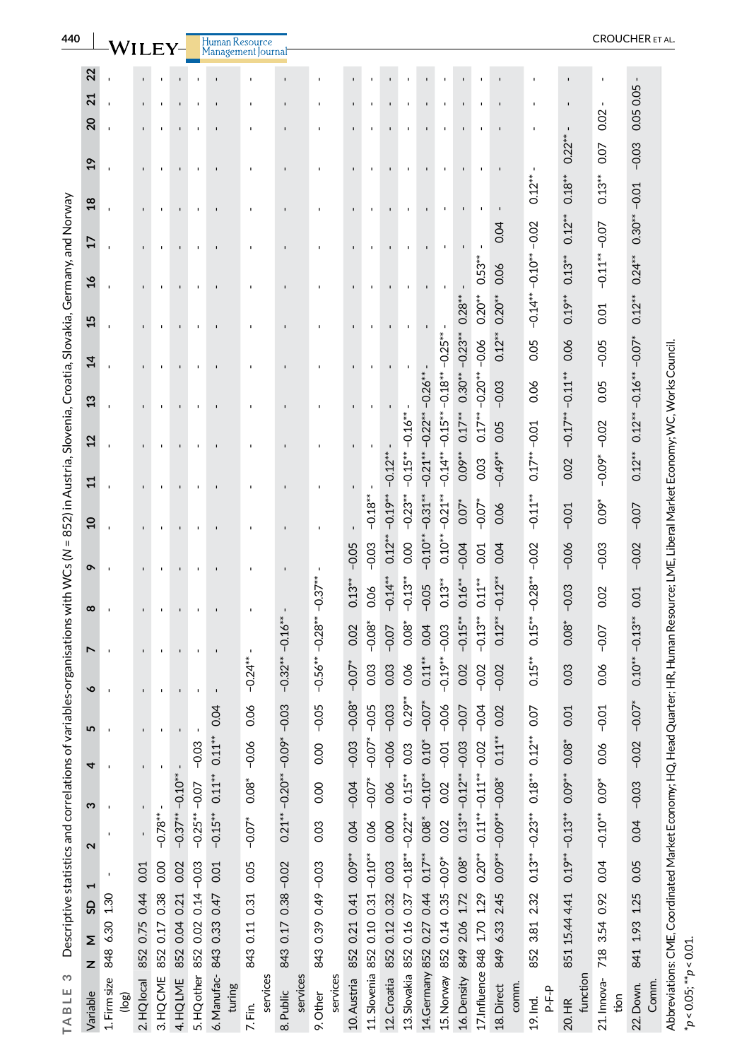| 440                                                                                                                                                |                             |                       |             |               |                    |                 | Human                 |                     |                       |                      |                           |                       |               |                                            |                            |                                   |             |                             |                                    |                         |                    |                     | <b>CROUCHER</b> ET AL |
|----------------------------------------------------------------------------------------------------------------------------------------------------|-----------------------------|-----------------------|-------------|---------------|--------------------|-----------------|-----------------------|---------------------|-----------------------|----------------------|---------------------------|-----------------------|---------------|--------------------------------------------|----------------------------|-----------------------------------|-------------|-----------------------------|------------------------------------|-------------------------|--------------------|---------------------|-----------------------|
|                                                                                                                                                    | 22                          |                       |             |               |                    |                 |                       |                     |                       |                      |                           |                       |               |                                            |                            |                                   |             |                             |                                    |                         |                    |                     |                       |
|                                                                                                                                                    | $\overline{21}$             |                       |             |               |                    |                 |                       |                     |                       |                      |                           |                       |               |                                            |                            |                                   |             |                             |                                    |                         |                    |                     | 0.05 0.05             |
|                                                                                                                                                    | $\overline{c}$              |                       |             |               |                    |                 |                       |                     |                       |                      |                           |                       |               |                                            |                            |                                   |             |                             |                                    |                         |                    | 0.02                |                       |
|                                                                                                                                                    | $\overline{a}$              |                       |             |               |                    |                 |                       |                     |                       |                      |                           |                       |               |                                            |                            |                                   |             |                             |                                    |                         | $0.22**$           | 0.07                | $-0.03$               |
|                                                                                                                                                    | $\frac{8}{2}$               |                       |             |               |                    |                 |                       |                     |                       |                      |                           |                       |               |                                            |                            |                                   |             |                             |                                    | $0.12**$                | $0.18**$           | $0.13**$            |                       |
|                                                                                                                                                    |                             |                       |             |               |                    |                 |                       |                     | $\blacksquare$        |                      |                           |                       |               |                                            |                            |                                   |             |                             | 0.04                               |                         | $0.12**$           |                     | $0.30***-0.01$        |
|                                                                                                                                                    | 17                          |                       |             |               |                    |                 |                       |                     |                       |                      |                           |                       |               |                                            |                            |                                   |             |                             |                                    |                         |                    | $-0.11***-0.07$     |                       |
|                                                                                                                                                    | $\frac{16}{1}$              |                       |             |               |                    |                 |                       |                     |                       |                      |                           |                       |               |                                            |                            |                                   |             | $0.53**$                    | 0.06                               |                         | $0.13**$           |                     | $0.24**$              |
|                                                                                                                                                    | 15                          |                       |             |               |                    |                 |                       |                     |                       |                      |                           |                       |               |                                            |                            |                                   | $0.28***$   | $0.20**$                    | $0.20**$                           | $-0.14***-0.10***-0.02$ | $0.19**$           | 0.01                | $0.12***$             |
|                                                                                                                                                    |                             |                       |             |               |                    |                 |                       |                     |                       |                      |                           |                       |               |                                            |                            |                                   | $-0.23**$   |                             | $0.12***$                          | 0.05                    | 0.06               | $-0.05$             | $-0.07$ <sup>*</sup>  |
|                                                                                                                                                    | $\mathbf{z}$                |                       |             |               |                    |                 |                       |                     |                       |                      |                           |                       |               |                                            |                            |                                   |             | $-0.20***-0.06$             |                                    |                         |                    |                     |                       |
|                                                                                                                                                    | $\boldsymbol{\mathfrak{1}}$ |                       |             |               |                    |                 |                       |                     |                       |                      |                           |                       |               |                                            |                            |                                   | $0.30***$   |                             | $-0.03$                            | 0.06                    | $-0.11**$          | 0.05                | $0.12***-0.16***$     |
|                                                                                                                                                    | $\overline{2}$              |                       |             |               |                    |                 |                       |                     | $\blacksquare$        |                      |                           |                       |               |                                            |                            |                                   | $0.17**$    | $0.17***$                   | 0.05                               |                         | $-0.17**$          | $-0.02$             |                       |
|                                                                                                                                                    |                             |                       |             |               |                    |                 |                       |                     |                       |                      |                           |                       | $-0.12**$     | $-0.15***-0.16***$                         | $-0.21***-0.22***-0.26***$ | $-0.14** -0.15** -0.18** -0.25**$ | 0.09**      | 0.03                        | $-0.49**$                          | $0.17***-0.01$          | 0.02               | $-0.09$ *           | $0.12***$             |
|                                                                                                                                                    | $\mathbf{1}$                |                       |             |               |                    |                 |                       |                     |                       |                      |                           |                       |               |                                            |                            |                                   |             |                             |                                    |                         |                    |                     |                       |
|                                                                                                                                                    | $\overline{a}$              |                       |             |               |                    |                 |                       |                     | $\blacksquare$        |                      |                           | $-0.18**$             | $-0.19**$     | $-0.23**$                                  |                            | $-0.21**$                         | $0.07*$     | $-0.07$ <sup>*</sup>        | 0.06                               | $-0.11**$               | $-0.01$            | $0.09*$             | $-0.07$               |
|                                                                                                                                                    |                             |                       |             |               |                    |                 |                       |                     |                       |                      | $-0.05$                   | $-0.03$               | $0.12***$     | 0.00                                       | $-0.10***-0.31***$         | $0.10***$                         | $-0.04$     | 0.01                        | 0.04                               | $-0.02$                 | $-0.06$            | $-0.03$             | $-0.02$               |
|                                                                                                                                                    | ç                           |                       |             |               |                    |                 |                       |                     |                       |                      | $0.13**$                  | 0.06                  | $-0.14**$     | $-0.13**$                                  | $-0.05$                    | $0.13***$                         | $0.16***$   | $0.11***$                   | $-0.12**$                          |                         |                    |                     |                       |
|                                                                                                                                                    | $\infty$                    |                       |             |               |                    |                 |                       |                     |                       | $-0.28**-0.37***$    |                           |                       |               |                                            |                            |                                   |             |                             |                                    | $0.15***-0.28***$       | $-0.03$            | 0.02                | 0.01                  |
|                                                                                                                                                    | L                           |                       |             |               |                    |                 |                       |                     | $-0.16**$             |                      | 0.02                      | $-0.08$ <sup>*</sup>  | $-0.07$       | $0.08*$                                    | 0.04                       | $-0.03$                           | $-0.15**$   | $-0.13**$                   | $0.12**$                           |                         | $0.08*$            | $-0.07$             | $0.10***-0.13***$     |
|                                                                                                                                                    |                             |                       |             |               |                    |                 |                       | $-0.24**$           | $-0.32**$             | $-0.56**$            | $-0.07*$                  | 0.03                  | 0.03          | 0.06                                       | $0.11***$                  | $-0.19**$                         | 0.02        | $-0.02$                     | $-0.02$                            | $0.15***$               | 0.03               | 0.06                |                       |
|                                                                                                                                                    | ç                           |                       |             |               |                    |                 | 04                    | $\delta$            | 03                    |                      | $\overset{*}{\mathbf{6}}$ |                       |               | $0.29***$                                  | $\tilde{C}$                |                                   |             |                             |                                    |                         | $\overline{C}$     | ΣÓ,                 |                       |
|                                                                                                                                                    | 5                           |                       |             |               |                    | $\blacksquare$  | Ö                     | O                   | ငှ                    | $-0.05$              | ငှ                        | $-0.07* -0.05$        | $-0.03$       |                                            | °                          | $-0.06$                           | $-0.07$     | $-0.04$                     | 0.02                               | 0.07                    | Ö                  | ခုံ                 | $-0.07$               |
|                                                                                                                                                    | 4                           |                       |             |               |                    | $-0.03$         | $0.11***$ $0.11***$   | $-0.06$             | $-0.20***-0.09*$      | 0.00                 | $-0.03$                   |                       | $-0.06$       | 0.03                                       | $0.10*$                    | $-0.01$                           | $-0.03$     |                             | $0.11***$                          | $0.12**$                | $0.08*$            | 0.06                | $-0.02$               |
|                                                                                                                                                    | ო                           |                       |             |               |                    |                 |                       | $0.08*$             |                       | 0.00                 | $-0.04$                   | $-0.07*$              | 0.06          | $0.15***$                                  | $-0.10**$                  | 0.02                              | $-0.12**$   |                             |                                    | $0.18**$                | $0.09**$           | 0.09*               | $-0.03$               |
|                                                                                                                                                    |                             |                       |             | $-0.78**$     | $-0.37***-0.10***$ | $-0.25***-0.07$ | $-0.15**$             | $-0.07*$            | $0.21***$             | 0.03                 | 0.04                      | 0.06                  | 0.00          |                                            | $0.08$ <sup>*</sup>        | 0.02                              | $0.13***$   | $0.11***-0.11***-0.02$      | $0.08^{**} - 0.09^{**} - 0.08^{*}$ |                         |                    | $-0.10**$           | 0.04                  |
|                                                                                                                                                    | 2                           |                       |             |               |                    |                 |                       |                     |                       |                      |                           |                       |               |                                            |                            |                                   |             |                             |                                    | $0.13***-0.23***$       | $0.19***-0.13***$  |                     |                       |
| Descriptive statistics and correlations of variables-organisations with WCs (N = 852) in Austria, Slovenia, Croatia, Slovakia, Germany, and Norway |                             |                       | 0.01        | 0.00          | 0.02               | $0.14 - 0.03$   | 0.01                  | 0.05                | $-0.02$               | 843 0.39 0.49 -0.03  | 852 0.21 0.41 0.09**      | 852 0.10 0.31 -0.10** | 0.03          |                                            | $0.44$ $0.17**$            | $0.35 - 0.09*$                    | $1.72008*$  | $0.20**$                    |                                    |                         |                    | 0.04                | 0.05                  |
|                                                                                                                                                    | GS                          | 848 6.30 1.30         | 0.75 0.44   | 852 0.17 0.38 | 0.21               |                 | 843 0.33 0.47         | 0.31                | 0.38                  |                      |                           |                       | 852 0.12 0.32 |                                            |                            |                                   |             |                             | 2.45                               | 2.32                    | 851 15.44 4.41     | 718 3.54 0.92       | 841 1.93 1.25         |
|                                                                                                                                                    | Σ                           |                       |             |               | 0.04               | 0.02            |                       | 843 0.11            | 843 0.17              |                      |                           |                       |               |                                            |                            | 0.14                              | 849 2.06    |                             | 6.33                               | 3.81                    |                    |                     |                       |
| S                                                                                                                                                  | z                           |                       | 852         |               | 852                | 852             |                       |                     |                       |                      |                           |                       |               |                                            |                            | 852                               |             |                             | 849                                | 852                     |                    |                     |                       |
| TABLE                                                                                                                                              | Variable                    | 1. Firm size<br>(log) | 2. HQ local | 3. HQ CME     | 4. HQ LME          | 5. HQ other     | 6. Manufac-<br>turing | services<br>7. Fin. | services<br>8. Public | services<br>9. Other | 10. Austria               | 11. Slovenia          | 12. Croatia   | 13. Slovakia 852 0.16 0.37 -0.18** -0.22** | 14. Germany 852 0.27       | 15. Norway                        | 16. Density | 17. Influence 848 1.70 1.29 | 18. Direct<br>comm.                | P-F-P<br>19. Ind.       | function<br>20. HR | 21. Innova-<br>tion | Comm.<br>22. Down.    |

\**p* < 0.05; \*\**p* < 0.01.

<span id="page-10-0"></span> $^*p < 0.05; ^{**}p < 0.01.$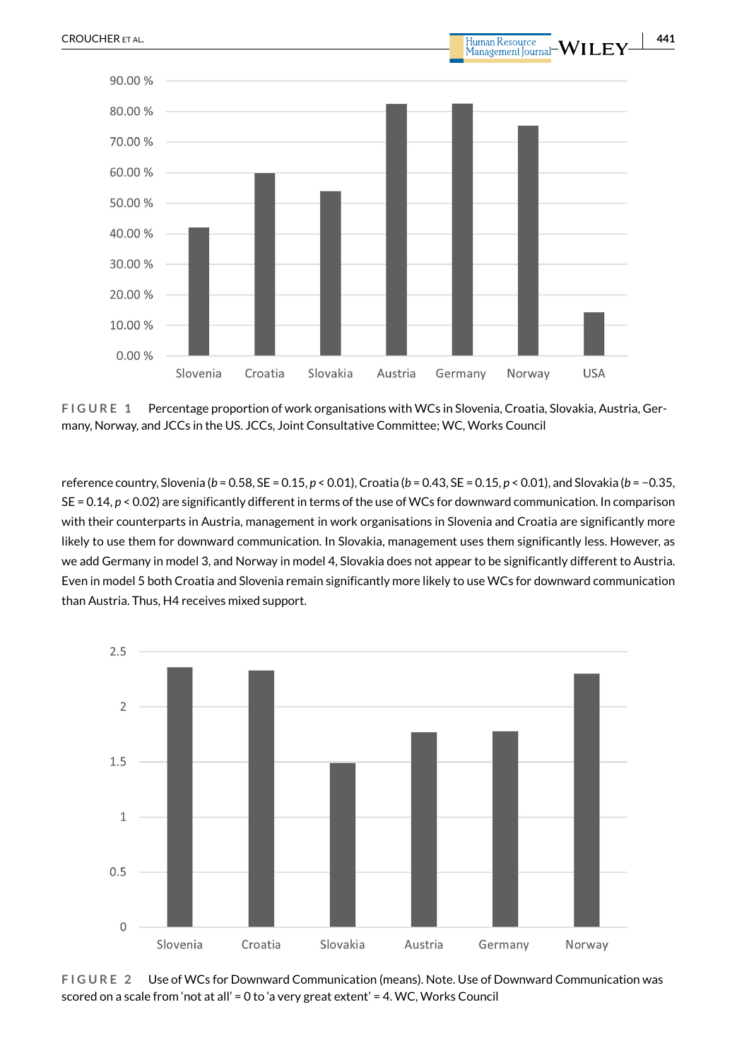

<span id="page-11-0"></span>**FIGURE 1** Percentage proportion of work organisations with WCs in Slovenia, Croatia, Slovakia, Austria, Germany, Norway, and JCCs in the US. JCCs, Joint Consultative Committee; WC, Works Council

reference country, Slovenia (*b* = 0.58, SE = 0.15, *p* < 0.01), Croatia (*b* = 0.43, SE = 0.15, *p* < 0.01), and Slovakia (*b* = −0.35, SE = 0.14, *p* < 0.02) are significantly different in terms of the use of WCs for downward communication. In comparison with their counterparts in Austria, management in work organisations in Slovenia and Croatia are significantly more likely to use them for downward communication. In Slovakia, management uses them significantly less. However, as we add Germany in model 3, and Norway in model 4, Slovakia does not appear to be significantly different to Austria. Even in model 5 both Croatia and Slovenia remain significantly more likely to use WCs for downward communication than Austria. Thus, H4 receives mixed support.

![](_page_11_Figure_3.jpeg)

<span id="page-11-1"></span>**FIGURE 2** Use of WCs for Downward Communication (means). Note. Use of Downward Communication was scored on a scale from 'not at all' = 0 to 'a very great extent' = 4. WC, Works Council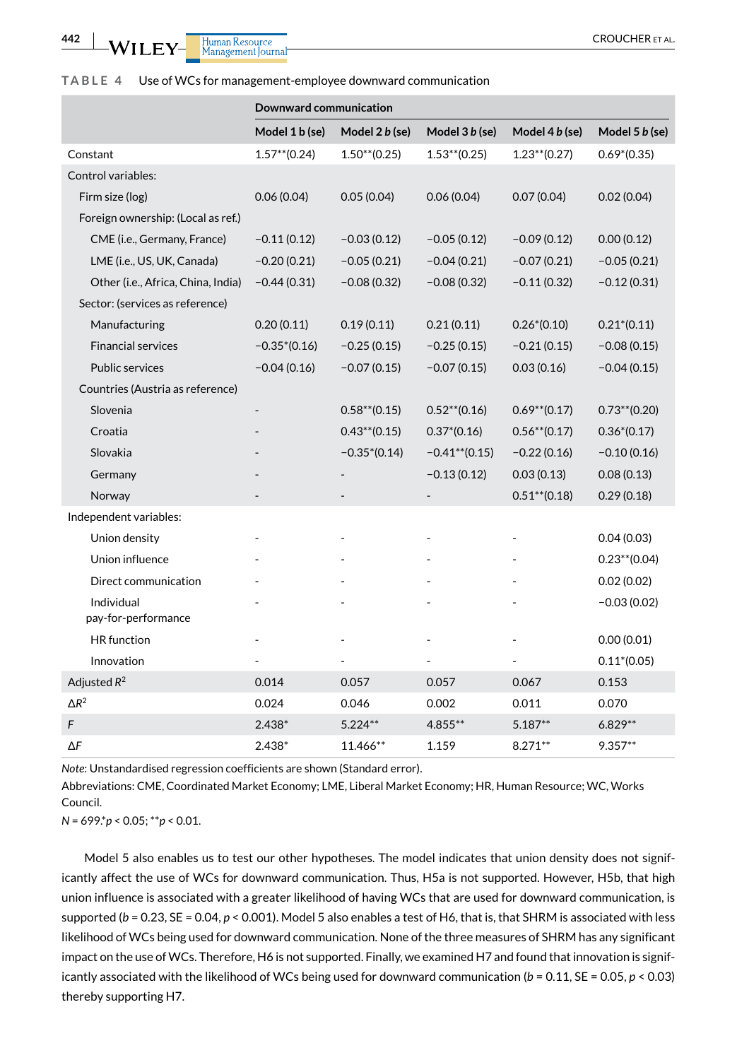Human Resource<br>Management Journal **WILEY** 

#### <span id="page-12-0"></span>**TABLE 4** Use of WCs for management-employee downward communication

|                                    |                 | <b>Downward communication</b> |                  |                 |                 |  |  |  |  |  |  |  |
|------------------------------------|-----------------|-------------------------------|------------------|-----------------|-----------------|--|--|--|--|--|--|--|
|                                    | Model 1 b (se)  | Model 2 b (se)                | Model 3 b (se)   | Model 4 b (se)  | Model 5 b (se)  |  |  |  |  |  |  |  |
| Constant                           | $1.57***(0.24)$ | $1.50**$ (0.25)               | $1.53**$ (0.25)  | $1.23**$ (0.27) | $0.69*(0.35)$   |  |  |  |  |  |  |  |
| Control variables:                 |                 |                               |                  |                 |                 |  |  |  |  |  |  |  |
| Firm size (log)                    | 0.06(0.04)      | 0.05(0.04)                    | 0.06(0.04)       | 0.07(0.04)      | 0.02(0.04)      |  |  |  |  |  |  |  |
| Foreign ownership: (Local as ref.) |                 |                               |                  |                 |                 |  |  |  |  |  |  |  |
| CME (i.e., Germany, France)        | $-0.11(0.12)$   | $-0.03(0.12)$                 | $-0.05(0.12)$    | $-0.09(0.12)$   | 0.00(0.12)      |  |  |  |  |  |  |  |
| LME (i.e., US, UK, Canada)         | $-0.20(0.21)$   | $-0.05(0.21)$                 | $-0.04(0.21)$    | $-0.07(0.21)$   | $-0.05(0.21)$   |  |  |  |  |  |  |  |
| Other (i.e., Africa, China, India) | $-0.44(0.31)$   | $-0.08(0.32)$                 | $-0.08(0.32)$    | $-0.11(0.32)$   | $-0.12(0.31)$   |  |  |  |  |  |  |  |
| Sector: (services as reference)    |                 |                               |                  |                 |                 |  |  |  |  |  |  |  |
| Manufacturing                      | 0.20(0.11)      | 0.19(0.11)                    | 0.21(0.11)       | $0.26*(0.10)$   | $0.21*(0.11)$   |  |  |  |  |  |  |  |
| <b>Financial services</b>          | $-0.35*(0.16)$  | $-0.25(0.15)$                 | $-0.25(0.15)$    | $-0.21(0.15)$   | $-0.08(0.15)$   |  |  |  |  |  |  |  |
| <b>Public services</b>             | $-0.04(0.16)$   | $-0.07(0.15)$                 | $-0.07(0.15)$    | 0.03(0.16)      | $-0.04(0.15)$   |  |  |  |  |  |  |  |
| Countries (Austria as reference)   |                 |                               |                  |                 |                 |  |  |  |  |  |  |  |
| Slovenia                           |                 | $0.58**$ (0.15)               | $0.52**$ (0.16)  | $0.69**$ (0.17) | $0.73**$ (0.20) |  |  |  |  |  |  |  |
| Croatia                            |                 | $0.43**$ (0.15)               | $0.37*(0.16)$    | $0.56**$ (0.17) | $0.36*(0.17)$   |  |  |  |  |  |  |  |
| Slovakia                           |                 | $-0.35*(0.14)$                | $-0.41**$ (0.15) | $-0.22(0.16)$   | $-0.10(0.16)$   |  |  |  |  |  |  |  |
| Germany                            |                 |                               | $-0.13(0.12)$    | 0.03(0.13)      | 0.08(0.13)      |  |  |  |  |  |  |  |
| Norway                             |                 |                               |                  | $0.51**$ (0.18) | 0.29(0.18)      |  |  |  |  |  |  |  |
| Independent variables:             |                 |                               |                  |                 |                 |  |  |  |  |  |  |  |
| Union density                      |                 |                               |                  |                 | 0.04(0.03)      |  |  |  |  |  |  |  |
| Union influence                    |                 |                               |                  |                 | $0.23**$ (0.04) |  |  |  |  |  |  |  |
| Direct communication               |                 |                               |                  |                 | 0.02(0.02)      |  |  |  |  |  |  |  |
| Individual<br>pay-for-performance  |                 |                               |                  |                 | $-0.03(0.02)$   |  |  |  |  |  |  |  |
| <b>HR</b> function                 |                 |                               |                  | ÷,              | 0.00(0.01)      |  |  |  |  |  |  |  |
| Innovation                         |                 |                               |                  |                 | $0.11*(0.05)$   |  |  |  |  |  |  |  |
| Adjusted $R^2$                     | 0.014           | 0.057                         | 0.057            | 0.067           | 0.153           |  |  |  |  |  |  |  |
| $\Delta R^2$                       | 0.024           | 0.046                         | 0.002            | 0.011           | 0.070           |  |  |  |  |  |  |  |
| F                                  | $2.438*$        | $5.224**$                     | 4.855**          | $5.187**$       | $6.829**$       |  |  |  |  |  |  |  |
| ΔF                                 | 2.438*          | 11.466**                      | 1.159            | $8.271**$       | $9.357**$       |  |  |  |  |  |  |  |

*Note*: Unstandardised regression coefficients are shown (Standard error).

Abbreviations: CME, Coordinated Market Economy; LME, Liberal Market Economy; HR, Human Resource; WC, Works Council.

*N* = 699.\**p* < 0.05; \*\**p* < 0.01.

Model 5 also enables us to test our other hypotheses. The model indicates that union density does not significantly affect the use of WCs for downward communication. Thus, H5a is not supported. However, H5b, that high union influence is associated with a greater likelihood of having WCs that are used for downward communication, is supported ( $b = 0.23$ , SE = 0.04,  $p < 0.001$ ). Model 5 also enables a test of H6, that is, that SHRM is associated with less likelihood of WCs being used for downward communication. None of the three measures of SHRM has any significant impact on the use of WCs. Therefore, H6 is not supported. Finally, we examined H7 and found that innovation is significantly associated with the likelihood of WCs being used for downward communication (*b* = 0.11, SE = 0.05, *p* < 0.03) thereby supporting H7.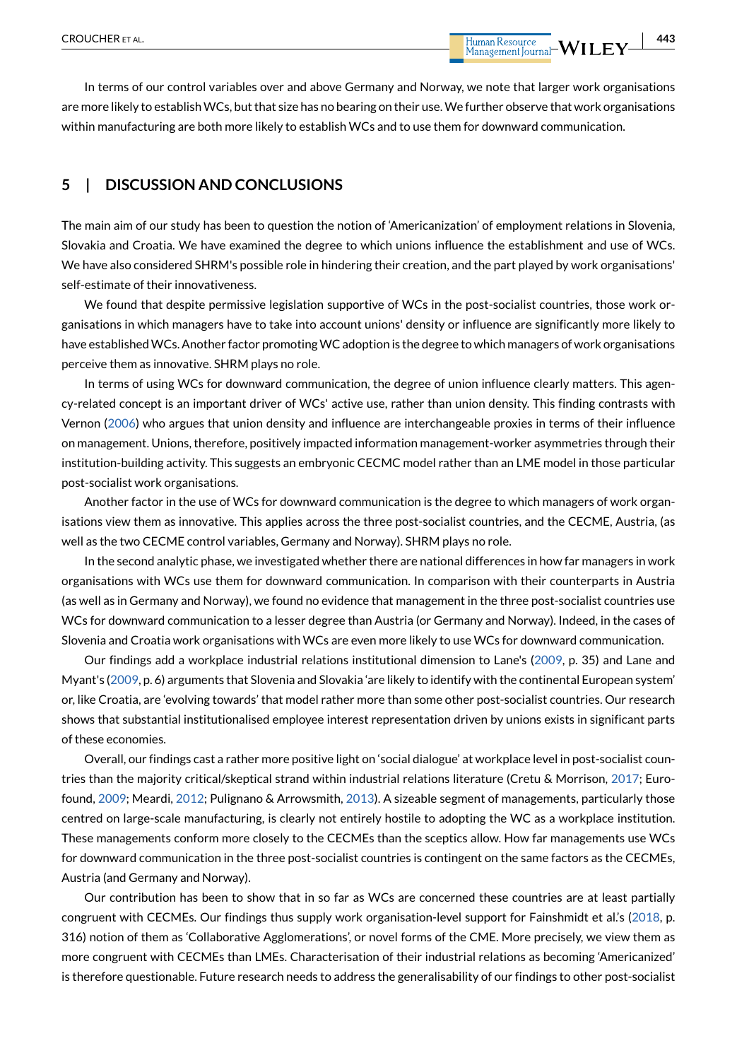In terms of our control variables over and above Germany and Norway, we note that larger work organisations are more likely to establish WCs, but that size has no bearing on their use. We further observe that work organisations within manufacturing are both more likely to establish WCs and to use them for downward communication.

# **5 | DISCUSSION AND CONCLUSIONS**

The main aim of our study has been to question the notion of 'Americanization' of employment relations in Slovenia, Slovakia and Croatia. We have examined the degree to which unions influence the establishment and use of WCs. We have also considered SHRM's possible role in hindering their creation, and the part played by work organisations' self-estimate of their innovativeness.

We found that despite permissive legislation supportive of WCs in the post-socialist countries, those work organisations in which managers have to take into account unions' density or influence are significantly more likely to have established WCs. Another factor promoting WC adoption is the degree to which managers of work organisations perceive them as innovative. SHRM plays no role.

In terms of using WCs for downward communication, the degree of union influence clearly matters. This agency-related concept is an important driver of WCs' active use, rather than union density. This finding contrasts with Vernon ([2006](#page-16-10)) who argues that union density and influence are interchangeable proxies in terms of their influence on management. Unions, therefore, positively impacted information management-worker asymmetries through their institution-building activity. This suggests an embryonic CECMC model rather than an LME model in those particular post-socialist work organisations.

Another factor in the use of WCs for downward communication is the degree to which managers of work organisations view them as innovative. This applies across the three post-socialist countries, and the CECME, Austria, (as well as the two CECME control variables, Germany and Norway). SHRM plays no role.

In the second analytic phase, we investigated whether there are national differences in how far managers in work organisations with WCs use them for downward communication. In comparison with their counterparts in Austria (as well as in Germany and Norway), we found no evidence that management in the three post-socialist countries use WCs for downward communication to a lesser degree than Austria (or Germany and Norway). Indeed, in the cases of Slovenia and Croatia work organisations with WCs are even more likely to use WCs for downward communication.

Our findings add a workplace industrial relations institutional dimension to Lane's [\(2009](#page-15-27), p. 35) and Lane and Myant's ([2009](#page-15-28), p. 6) arguments that Slovenia and Slovakia 'are likely to identify with the continental European system' or, like Croatia, are 'evolving towards' that model rather more than some other post-socialist countries. Our research shows that substantial institutionalised employee interest representation driven by unions exists in significant parts of these economies.

Overall, our findings cast a rather more positive light on 'social dialogue' at workplace level in post-socialist countries than the majority critical/skeptical strand within industrial relations literature (Cretu & Morrison, [2017;](#page-14-0) Eurofound, [2009](#page-15-13); Meardi, [2012](#page-15-3); Pulignano & Arrowsmith, [2013](#page-15-9)). A sizeable segment of managements, particularly those centred on large-scale manufacturing, is clearly not entirely hostile to adopting the WC as a workplace institution. These managements conform more closely to the CECMEs than the sceptics allow. How far managements use WCs for downward communication in the three post-socialist countries is contingent on the same factors as the CECMEs, Austria (and Germany and Norway).

Our contribution has been to show that in so far as WCs are concerned these countries are at least partially congruent with CECMEs. Our findings thus supply work organisation-level support for Fainshmidt et al.'s ([2018](#page-15-12), p. 316) notion of them as 'Collaborative Agglomerations', or novel forms of the CME. More precisely, we view them as more congruent with CECMEs than LMEs. Characterisation of their industrial relations as becoming 'Americanized' is therefore questionable. Future research needs to address the generalisability of our findings to other post-socialist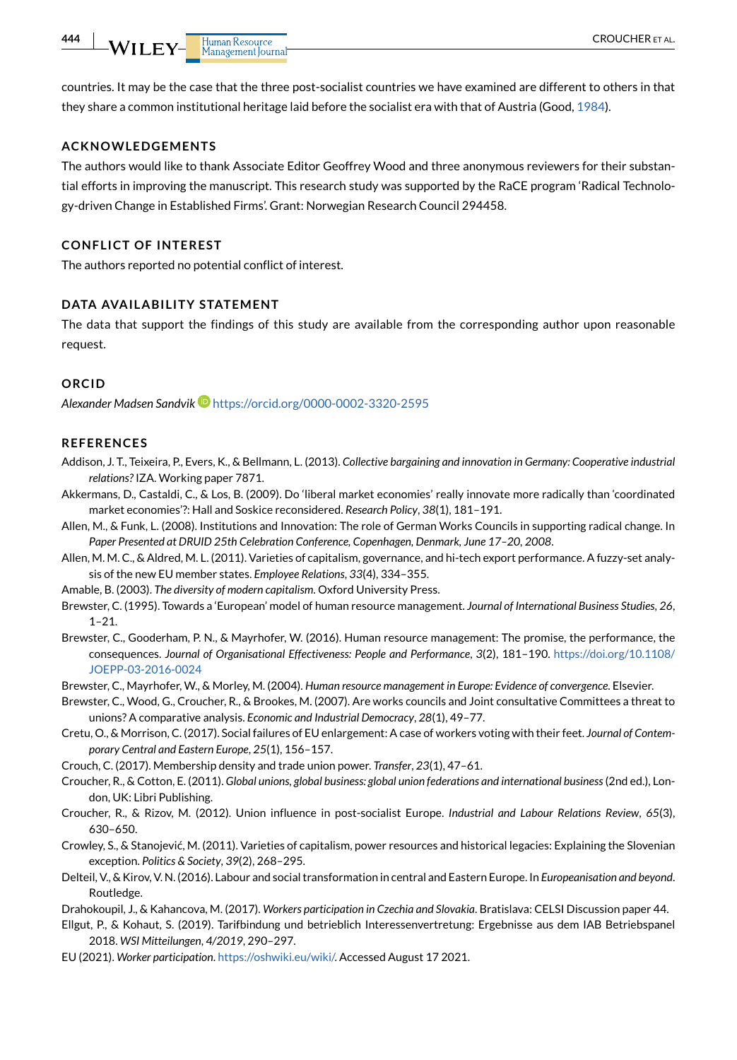countries. It may be the case that the three post-socialist countries we have examined are different to others in that they share a common institutional heritage laid before the socialist era with that of Austria (Good, [1984\)](#page-15-29).

#### **ACKNOWLEDGEMENTS**

The authors would like to thank Associate Editor Geoffrey Wood and three anonymous reviewers for their substantial efforts in improving the manuscript. This research study was supported by the RaCE program 'Radical Technology-driven Change in Established Firms'. Grant: Norwegian Research Council 294458.

#### **CONFLICT OF INTEREST**

The authors reported no potential conflict of interest.

#### **DATA AVAILABILITY STATEMENT**

The data that support the findings of this study are available from the corresponding author upon reasonable request.

#### **ORCID**

*Alexander Madsen Sandvik* <https://orcid.org/0000-0002-3320-2595>

#### **REFERENCES**

- <span id="page-14-11"></span>Addison, J. T., Teixeira, P., Evers, K., & Bellmann, L. (2013). *Collective bargaining and innovation in Germany: Cooperative industrial relations?* IZA. Working paper 7871.
- <span id="page-14-16"></span>Akkermans, D., Castaldi, C., & Los, B. (2009). Do 'liberal market economies' really innovate more radically than 'coordinated market economies'?: Hall and Soskice reconsidered. *Research Policy*, *38*(1), 181–191.
- <span id="page-14-13"></span>Allen, M., & Funk, L. (2008). Institutions and Innovation: The role of German Works Councils in supporting radical change. In *Paper Presented at DRUID 25th Celebration Conference, Copenhagen, Denmark, June 17–20, 2008*.
- <span id="page-14-12"></span>Allen, M. M. C., & Aldred, M. L. (2011). Varieties of capitalism, governance, and hi-tech export performance. A fuzzy-set analysis of the new EU member states. *Employee Relations*, *33*(4), 334–355.
- <span id="page-14-1"></span>Amable, B. (2003). *The diversity of modern capitalism*. Oxford University Press.
- <span id="page-14-15"></span>Brewster, C. (1995). Towards a 'European' model of human resource management. *Journal of International Business Studies*, *26*, 1–21.
- <span id="page-14-14"></span>Brewster, C., Gooderham, P. N., & Mayrhofer, W. (2016). Human resource management: The promise, the performance, the consequences. *Journal of Organisational Effectiveness: People and Performance*, *3*(2), 181–190. [https://doi.org/10.1108/](https://doi.org/10.1108/JOEPP-03-2016-0024) [JOEPP-03-2016-0024](https://doi.org/10.1108/JOEPP-03-2016-0024)
- <span id="page-14-17"></span>Brewster, C., Mayrhofer, W., & Morley, M. (2004). *Human resource management in Europe: Evidence of convergence*. Elsevier.
- <span id="page-14-3"></span>Brewster, C., Wood, G., Croucher, R., & Brookes, M. (2007). Are works councils and Joint consultative Committees a threat to unions? A comparative analysis. *Economic and Industrial Democracy*, *28*(1), 49–77.
- <span id="page-14-0"></span>Cretu, O., & Morrison, C. (2017). Social failures of EU enlargement: A case of workers voting with their feet. *Journal of Contemporary Central and Eastern Europe*, *25*(1), 156–157.
- <span id="page-14-2"></span>Crouch, C. (2017). Membership density and trade union power. *Transfer*, *23*(1), 47–61.
- <span id="page-14-4"></span>Croucher, R., & Cotton, E. (2011). *Global unions, global business: global union federations and international business* (2nd ed.), London, UK: Libri Publishing.
- <span id="page-14-6"></span>Croucher, R., & Rizov, M. (2012). Union influence in post-socialist Europe. *Industrial and Labour Relations Review*, *65*(3), 630–650.

<span id="page-14-10"></span>Crowley, S., & Stanojević, M. (2011). Varieties of capitalism, power resources and historical legacies: Explaining the Slovenian exception. *Politics & Society*, *39*(2), 268–295.

<span id="page-14-5"></span>Delteil, V., & Kirov, V. N. (2016). Labour and social transformation in central and Eastern Europe. In *Europeanisation and beyond*. Routledge.

<span id="page-14-9"></span>Drahokoupil, J., & Kahancova, M. (2017). *Workers participation in Czechia and Slovakia*. Bratislava: CELSI Discussion paper 44.

- <span id="page-14-8"></span>Ellgut, P., & Kohaut, S. (2019). Tarifbindung und betrieblich Interessenvertretung: Ergebnisse aus dem IAB Betriebspanel 2018. *WSI Mitteilungen*, *4/2019*, 290–297.
- <span id="page-14-7"></span>EU (2021). *Worker participation*.<https://oshwiki.eu/wiki/>. Accessed August 17 2021.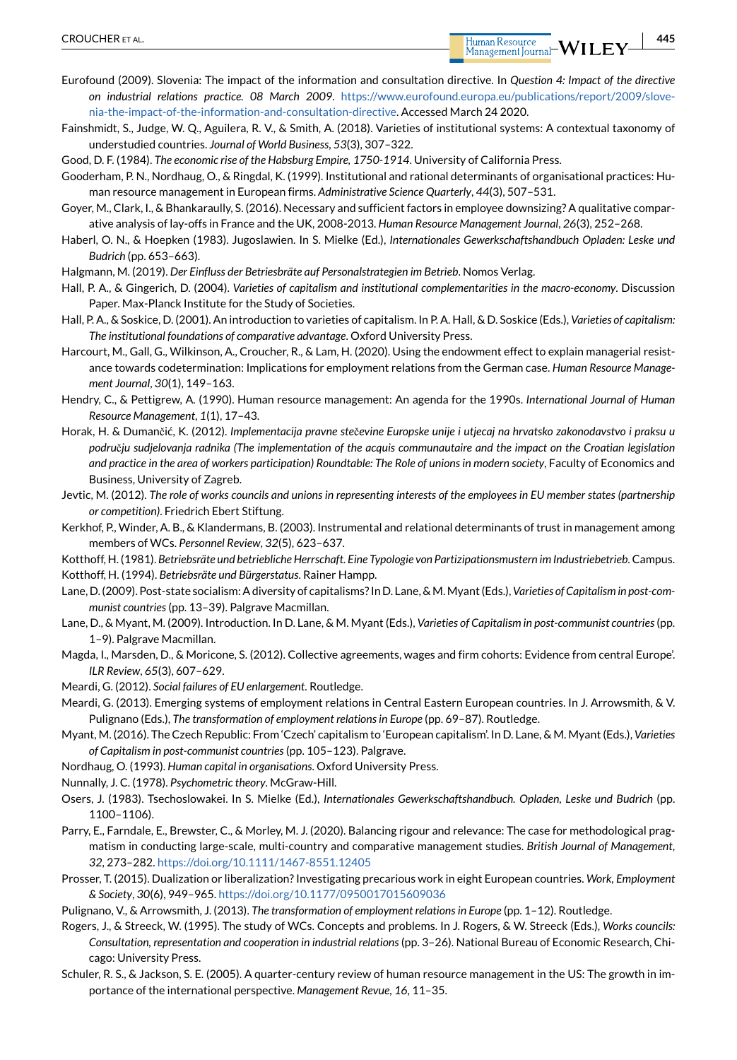Human Resource

- <span id="page-15-13"></span>Eurofound (2009). Slovenia: The impact of the information and consultation directive. In *Question 4: Impact of the directive on industrial relations practice. 08 March 2009*. [https://www.eurofound.europa.eu/publications/report/2009/slove](https://www.eurofound.europa.eu/publications/report/2009/slovenia%2Dthe%2Dimpact%2Dof%2Dthe%2Dinformation%2Dand%2Dconsultation%2Ddirective)[nia-the-impact-of-the-information-and-consultation-directive.](https://www.eurofound.europa.eu/publications/report/2009/slovenia%2Dthe%2Dimpact%2Dof%2Dthe%2Dinformation%2Dand%2Dconsultation%2Ddirective) Accessed March 24 2020.
- <span id="page-15-12"></span>Fainshmidt, S., Judge, W. Q., Aguilera, R. V., & Smith, A. (2018). Varieties of institutional systems: A contextual taxonomy of understudied countries. *Journal of World Business*, *53*(3), 307–322.
- <span id="page-15-29"></span>Good, D. F. (1984). *The economic rise of the Habsburg Empire, 1750-1914*. University of California Press.
- <span id="page-15-24"></span>Gooderham, P. N., Nordhaug, O., & Ringdal, K. (1999). Institutional and rational determinants of organisational practices: Human resource management in European firms. *Administrative Science Quarterly*, *44*(3), 507–531.
- <span id="page-15-20"></span>Goyer, M., Clark, I., & Bhankaraully, S. (2016). Necessary and sufficient factors in employee downsizing? A qualitative comparative analysis of lay-offs in France and the UK, 2008-2013. *Human Resource Management Journal*, *26*(3), 252–268.
- <span id="page-15-7"></span>Haberl, O. N., & Hoepken (1983). Jugoslawien. In S. Mielke (Ed.), *Internationales Gewerkschaftshandbuch Opladen: Leske und Budrich* (pp. 653–663).
- <span id="page-15-17"></span>Halgmann, M. (2019). *Der Einfluss der Betriesbräte auf Personalstrategien im Betrieb*. Nomos Verlag.
- <span id="page-15-6"></span>Hall, P. A., & Gingerich, D. (2004). *Varieties of capitalism and institutional complementarities in the macro-economy*. Discussion Paper. Max-Planck Institute for the Study of Societies.
- <span id="page-15-2"></span>Hall, P. A., & Soskice, D. (2001). An introduction to varieties of capitalism. In P. A. Hall, & D. Soskice (Eds.), *Varieties of capitalism: The institutional foundations of comparative advantage*. Oxford University Press.
- <span id="page-15-16"></span>Harcourt, M., Gall, G., Wilkinson, A., Croucher, R., & Lam, H. (2020). Using the endowment effect to explain managerial resistance towards codetermination: Implications for employment relations from the German case. *Human Resource Management Journal*, *30*(1), 149–163.
- <span id="page-15-22"></span>Hendry, C., & Pettigrew, A. (1990). Human resource management: An agenda for the 1990s. *International Journal of Human Resource Management*, *1*(1), 17–43.
- <span id="page-15-14"></span>Horak, H. & Dumančić, K. (2012). *Implementacija pravne ste*č*evine Europske unije i utjecaj na hrvatsko zakonodavstvo i praksu u podru*č*ju sudjelovanja radnika (The implementation of the acquis communautaire and the impact on the Croatian legislation and practice in the area of workers participation) Roundtable: The Role of unions in modern society*, Faculty of Economics and Business, University of Zagreb.
- <span id="page-15-1"></span>Jevtic, M. (2012). *The role of works councils and unions in representing interests of the employees in EU member states (partnership or competition)*. Friedrich Ebert Stiftung.
- <span id="page-15-15"></span>Kerkhof, P., Winder, A. B., & Klandermans, B. (2003). Instrumental and relational determinants of trust in management among members of WCs. *Personnel Review*, *32*(5), 623–637.
- <span id="page-15-19"></span><span id="page-15-18"></span>Kotthoff, H. (1981). *Betriebsräte und betriebliche Herrschaft. Eine Typologie von Partizipationsmustern im Industriebetrieb*. Campus. Kotthoff, H. (1994). *Betriebsräte und Bürgerstatus*. Rainer Hampp.
- <span id="page-15-27"></span>Lane, D. (2009). Post-state socialism: A diversity of capitalisms? In D. Lane, & M. Myant (Eds.), *Varieties of Capitalism in post-communist countries* (pp. 13–39). Palgrave Macmillan.
- <span id="page-15-28"></span>Lane, D., & Myant, M. (2009). Introduction. In D. Lane, & M. Myant (Eds.), *Varieties of Capitalism in post-communist countries* (pp. 1–9). Palgrave Macmillan.
- <span id="page-15-10"></span>Magda, I., Marsden, D., & Moricone, S. (2012). Collective agreements, wages and firm cohorts: Evidence from central Europe'. *ILR Review*, *65*(3), 607–629.
- <span id="page-15-3"></span>Meardi, G. (2012). *Social failures of EU enlargement*. Routledge.
- <span id="page-15-0"></span>Meardi, G. (2013). Emerging systems of employment relations in Central Eastern European countries. In J. Arrowsmith, & V. Pulignano (Eds.), *The transformation of employment relations in Europe* (pp. 69–87). Routledge.
- <span id="page-15-11"></span>Myant, M. (2016). The Czech Republic: From 'Czech' capitalism to 'European capitalism'. In D. Lane, & M. Myant (Eds.), *Varieties of Capitalism in post-communist countries* (pp. 105–123). Palgrave.
- <span id="page-15-23"></span>Nordhaug, O. (1993). *Human capital in organisations*. Oxford University Press.
- <span id="page-15-26"></span>Nunnally, J. C. (1978). *Psychometric theory*. McGraw-Hill.
- <span id="page-15-8"></span>Osers, J. (1983). Tsechoslowakei. In S. Mielke (Ed.), *Internationales Gewerkschaftshandbuch. Opladen, Leske und Budrich* (pp. 1100–1106).
- <span id="page-15-25"></span>Parry, E., Farndale, E., Brewster, C., & Morley, M. J. (2020). Balancing rigour and relevance: The case for methodological pragmatism in conducting large-scale, multi-country and comparative management studies. *British Journal of Management*, *32*, 273–282. <https://doi.org/10.1111/1467-8551.12405>
- <span id="page-15-4"></span>Prosser, T. (2015). Dualization or liberalization? Investigating precarious work in eight European countries. *Work, Employment & Society*, *30*(6), 949–965. <https://doi.org/10.1177/0950017015609036>
- <span id="page-15-9"></span>Pulignano, V., & Arrowsmith, J. (2013). *The transformation of employment relations in Europe* (pp. 1–12). Routledge.
- <span id="page-15-5"></span>Rogers, J., & Streeck, W. (1995). The study of WCs. Concepts and problems. In J. Rogers, & W. Streeck (Eds.), *Works councils: Consultation, representation and cooperation in industrial relations* (pp. 3–26). National Bureau of Economic Research, Chicago: University Press.
- <span id="page-15-21"></span>Schuler, R. S., & Jackson, S. E. (2005). A quarter-century review of human resource management in the US: The growth in importance of the international perspective. *Management Revue*, *16*, 11–35.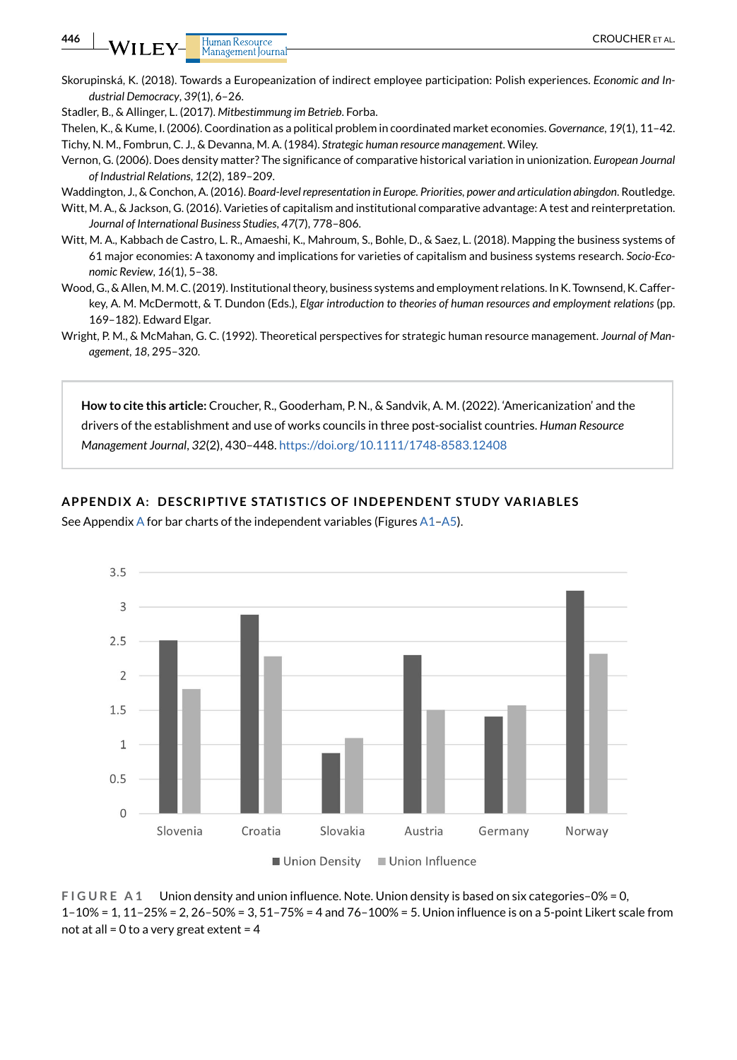<span id="page-16-0"></span>Skorupinská, K. (2018). Towards a Europeanization of indirect employee participation: Polish experiences. *Economic and Industrial Democracy*, *39*(1), 6–26.

<span id="page-16-3"></span>Stadler, B., & Allinger, L. (2017). *Mitbestimmung im Betrieb*. Forba.

- <span id="page-16-6"></span><span id="page-16-2"></span>Thelen, K., & Kume, I. (2006). Coordination as a political problem in coordinated market economies. *Governance*, *19*(1), 11–42. Tichy, N. M., Fombrun, C. J., & Devanna, M. A. (1984). *Strategic human resource management*. Wiley.
- <span id="page-16-10"></span>Vernon, G. (2006). Does density matter? The significance of comparative historical variation in unionization. *European Journal of Industrial Relations*, *12*(2), 189–209.
- <span id="page-16-4"></span>Waddington, J., & Conchon, A. (2016). *Board-level representation in Europe. Priorities, power and articulation abingdon*. Routledge.
- <span id="page-16-8"></span>Witt, M. A., & Jackson, G. (2016). Varieties of capitalism and institutional comparative advantage: A test and reinterpretation. *Journal of International Business Studies*, *47*(7), 778–806.
- <span id="page-16-1"></span>Witt, M. A., Kabbach de Castro, L. R., Amaeshi, K., Mahroum, S., Bohle, D., & Saez, L. (2018). Mapping the business systems of 61 major economies: A taxonomy and implications for varieties of capitalism and business systems research. *Socio-Economic Review*, *16*(1), 5–38.
- <span id="page-16-5"></span>Wood, G., & Allen, M. M. C. (2019). Institutional theory, business systems and employment relations. In K. Townsend, K. Cafferkey, A. M. McDermott, & T. Dundon (Eds.), *Elgar introduction to theories of human resources and employment relations* (pp. 169–182). Edward Elgar.
- <span id="page-16-7"></span>Wright, P. M., & McMahan, G. C. (1992). Theoretical perspectives for strategic human resource management. *Journal of Management*, *18*, 295–320.

**How to cite this article:** Croucher, R., Gooderham, P. N., & Sandvik, A. M. (2022). 'Americanization' and the drivers of the establishment and use of works councils in three post-socialist countries. *Human Resource Management Journal*, *32*(2), 430–448. https://doi.org/10.1111/1748-8583.12408

#### <span id="page-16-9"></span>**APPENDIX A: DESCRIPTIVE STATISTICS OF INDEPENDENT STUDY VARIABLES**

See [A](#page-16-9)ppendix A for bar charts of the independent variables (Figures  $A1-A5$ ).

![](_page_16_Figure_14.jpeg)

**FIGURE A1** Union density and union influence. Note. Union density is based on six categories–0% = 0, 1–10% = 1, 11–25% = 2, 26–50% = 3, 51–75% = 4 and 76–100% = 5. Union influence is on a 5-point Likert scale from not at all = 0 to a very great extent =  $4$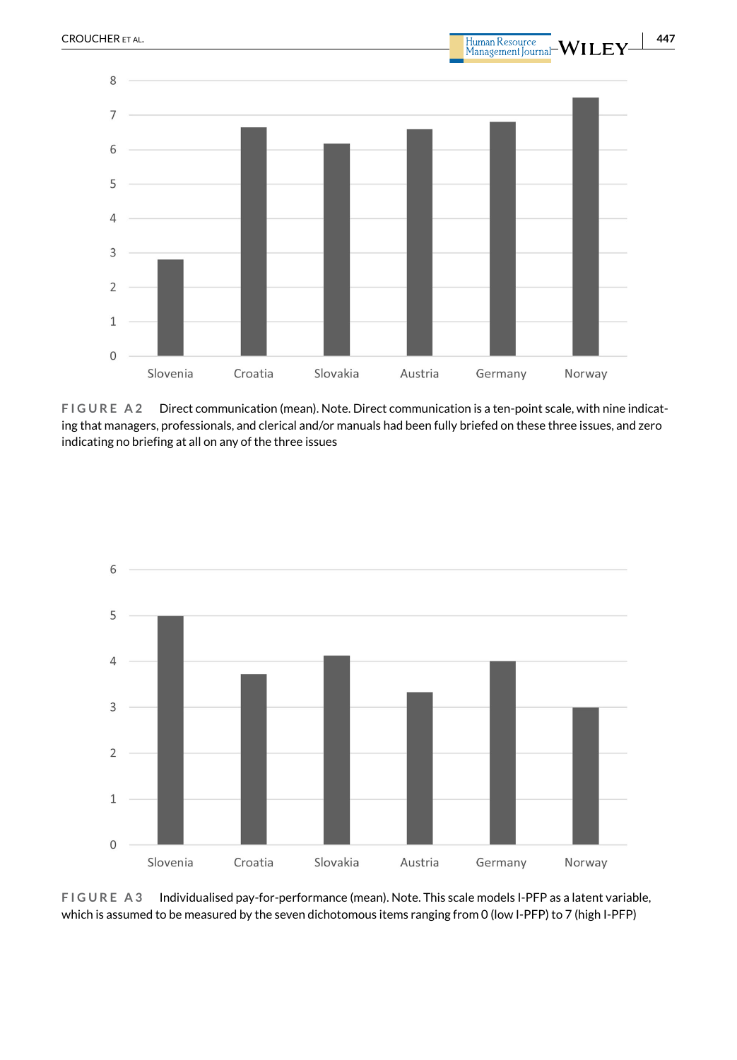![](_page_17_Figure_0.jpeg)

![](_page_17_Figure_1.jpeg)

**FIGURE A2** Direct communication (mean). Note. Direct communication is a ten-point scale, with nine indicating that managers, professionals, and clerical and/or manuals had been fully briefed on these three issues, and zero indicating no briefing at all on any of the three issues

![](_page_17_Figure_3.jpeg)

**FIGURE A3** Individualised pay-for-performance (mean). Note. This scale models I-PFP as a latent variable, which is assumed to be measured by the seven dichotomous items ranging from 0 (low I-PFP) to 7 (high I-PFP)